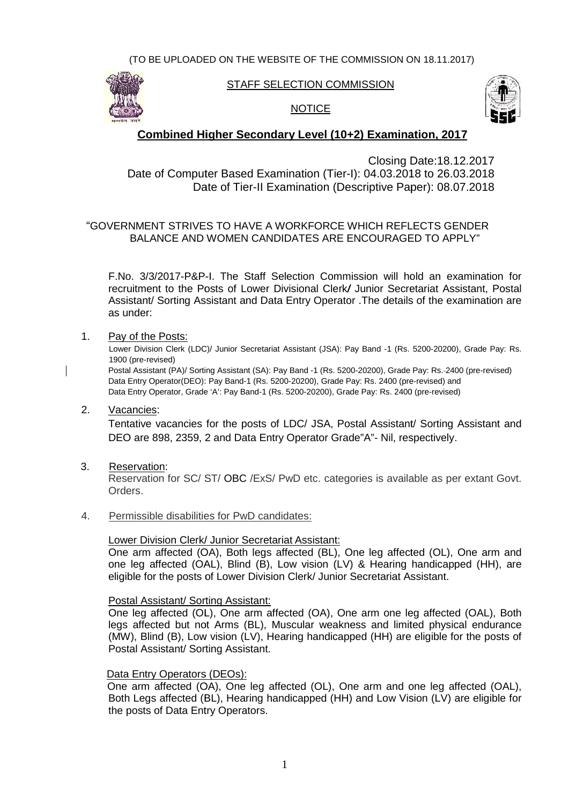

#### STAFF SELECTION COMMISSION

## NOTICE



## **Combined Higher Secondary Level (10+2) Examination, 2017**

Closing Date:18.12.2017 Date:18.12.2017Date of Computer Based Examination (Tier-I): 04.03.2018 to 26.03.2018 26.03.2018Date of Tier-II Examination (Descriptive Paper): 08.07.2018 08.07.2018

## "GOVERNMENT STRIVES TO HAVE A WORKFORCE WHICH REFLECTS GENDER BALANCE AND WOMEN CANDIDATES ARE ENCOURAGED TO APPLY"

F.No. 3/3/2017-P&P-I. The Staff Selection Commission will hold an examination for recruitment to the Posts of Lower Divisional Clerk*/* Junior Secretariat Assistant, Postal Assistant/ Sorting Assistant and Data Entry Operator .The details of the examination are as under: VERNMENT STRIVES TO HAVE A WORKFORCE WHICH REFLECTS GENDER<br>BALANCE AND WOMEN CANDIDATES ARE ENCOURAGED TO APPLY"<br>F.No. 3/3/2017-P&P-I. The Staff Selection Commission will hold an examination for<br>recruitment to the Posts of

# as under:<br>1. <u>Pay of the Posts:</u>

Lower Division Clerk (LDC)/ Junior Secretariat Assistant (JSA): Pay Band -1 (Rs. 5200-20200), Grade Pay: Rs. 1900 (pre-revised) Lower Division Clerk (LDC)/ Junior Secretariat Assistant (JSA): Pay Band -1 (Rs. 5200-20200), Grade Pay: Rs.<br>1900 (pre-revised)<br>Postal Assistant (PA)/ Sorting Assistant (SA): Pay Band -1 (Rs. 5200-20200), Grade Pay: Rs.-24

Data Entry Operator(DEO): Pay Band-1 (Rs. 5200-20200), Grade Pay: Rs. 2400 (pre-revised) and Data Entry Operator(DEO): Pay Band-1 (Rs. 5200-20200), Grade Pay: Rs. 2400 (pre-revised) and<br>Data Entry Operator, Grade 'A': Pay Band-1 (Rs. 5200-20200), Grade Pay: Rs. 2400 (pre-revised)

2. Vacancies:

Tentative vacancies for the posts of LDC/ JSA, Postal Assistant/ Sorting Assistant and DEO are 898, 2359, 2 and Data Entry Operator Grade"A"- Nil, respectively. Vacancies:<br>Tentative vacancies for the posts of LDC/ JSA, Postal Assistant/ Sorting Ass<br>DEO are 898, 2359, 2 and Data Entry Operator Grade"A"- Nil, respectively.<br>Reservation for SC/ ST/ OBC /ExS/ PwD etc. categories is ava

3. Reservation:

Reservation for SC/ ST/ OBC /ExS/ PwD etc. categories is available as per extant Govt. Orders.

4. Permissible disabilities for PwD candidates:

#### Lower Division Clerk/ Junior Secretariat Assistant:

One arm affected (OA), Both legs affected (BL), One leg affected (OL), One arm and one leg affected (OAL), Blind (B), Low vision (LV) & Hearing handicapped (HH), are eligible for the posts of Lower Division Clerk/ Junior Secretariat Assistant.

#### Postal Assistant/ Sorting Assistant:

One leg affected (OL), One arm affected (OA), One arm one leg affected (OAL), Both legs affected but not Arms (BL), Muscular weakness and limited physical endurance (MW), Blind (B), Low vision (LV), Hearing handicapped (HH) are eligible for the posts of Postal Assistant/ Sorting Assistant. <u>Postal Assistant/ Sorting Assistant:</u><br>One leg affected (OL), One arm affected (OA), One arm one leg affected (OAL),<br>legs affected but not Arms (BL), Muscular weakness and limited physical endu Assistant/ Sorting Assistant and Data Entry Operator .The details of the examination are<br>
Ray of the Posts:<br>
Lower Division Clark (LDC)/ Junior Secretariat Assistant (JSA): Pay Band -1 (Rs. 5200-20200), Grade Pay: Rs.<br>
Low

#### Data Entry Operators (DEOs):

One arm affected (OA), One leg affected (OL), One arm and one leg affected (OAL), Both Legs affected (BL), Hearing handicapped (HH) and Low Vision (LV) are eligible for the posts of Data Entry Operators.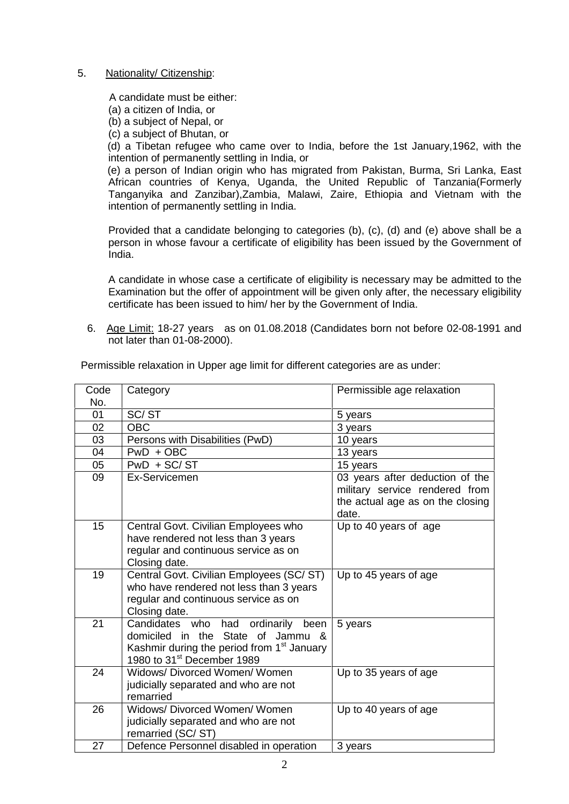#### 5. Nationality/ Citizenship:

A candidate must be either:

(a) a citizen of India, or

(b) a subject of Nepal, or

(c) a subject of Bhutan, or

(d) a Tibetan refugee who came over to India, before the 1st January,1962, with the intention of permanently settling in India, or

(e) a person of Indian origin who has migrated from Pakistan, Burma, Sri Lanka, East African countries of Kenya, Uganda, the United Republic of Tanzania(Formerly Tanganyika and Zanzibar),Zambia, Malawi, Zaire, Ethiopia and Vietnam with the intention of permanently settling in India.

Provided that a candidate belonging to categories (b), (c), (d) and (e) above shall be a person in whose favour a certificate of eligibility has been issued by the Government of India.

A candidate in whose case a certificate of eligibility is necessary may be admitted to the Examination but the offer of appointment will be given only after, the necessary eligibility certificate has been issued to him/ her by the Government of India.

6. Age Limit: 18-27 years as on 01.08.2018 (Candidates born not before 02-08-1991 and not later than 01-08-2000).

| Code | Category                                                                                                                                                                          | Permissible age relaxation                                                                                     |
|------|-----------------------------------------------------------------------------------------------------------------------------------------------------------------------------------|----------------------------------------------------------------------------------------------------------------|
| No.  |                                                                                                                                                                                   |                                                                                                                |
| 01   | SC/ST                                                                                                                                                                             | 5 years                                                                                                        |
| 02   | <b>OBC</b>                                                                                                                                                                        | 3 years                                                                                                        |
| 03   | Persons with Disabilities (PwD)                                                                                                                                                   | 10 years                                                                                                       |
| 04   | $PWD + OBC$                                                                                                                                                                       | 13 years                                                                                                       |
| 05   | $PWD + SC/ST$                                                                                                                                                                     | 15 years                                                                                                       |
| 09   | Ex-Servicemen                                                                                                                                                                     | 03 years after deduction of the<br>military service rendered from<br>the actual age as on the closing<br>date. |
| 15   | Central Govt. Civilian Employees who<br>have rendered not less than 3 years<br>regular and continuous service as on<br>Closing date.                                              | Up to 40 years of age                                                                                          |
| 19   | Central Govt. Civilian Employees (SC/ST)<br>who have rendered not less than 3 years<br>regular and continuous service as on<br>Closing date.                                      | Up to 45 years of age                                                                                          |
| 21   | Candidates who had<br>ordinarily<br>been<br>domiciled in the State of Jammu &<br>Kashmir during the period from 1 <sup>st</sup> January<br>1980 to 31 <sup>st</sup> December 1989 | 5 years                                                                                                        |
| 24   | Widows/Divorced Women/Women<br>judicially separated and who are not<br>remarried                                                                                                  | Up to 35 years of age                                                                                          |
| 26   | Widows/ Divorced Women/ Women<br>judicially separated and who are not<br>remarried (SC/ST)                                                                                        | Up to 40 years of age                                                                                          |
| 27   | Defence Personnel disabled in operation                                                                                                                                           | 3 years                                                                                                        |

Permissible relaxation in Upper age limit for different categories are as under: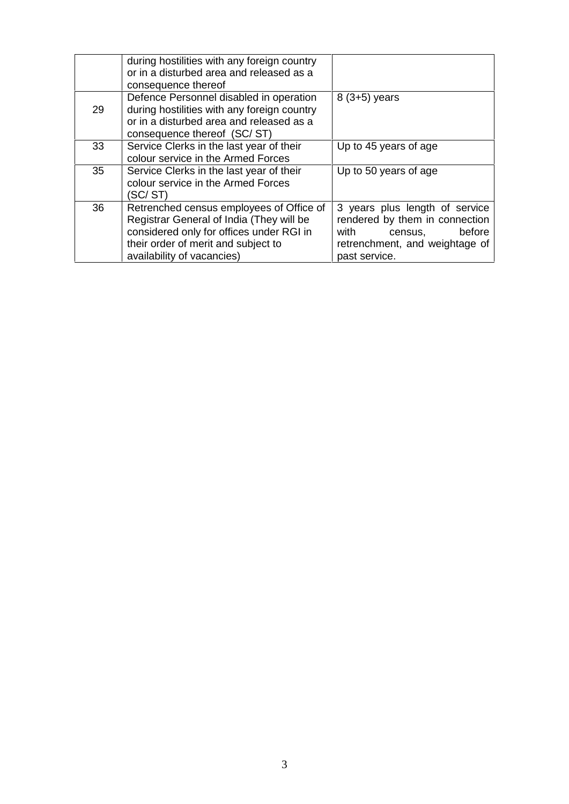|    | during hostilities with any foreign country<br>or in a disturbed area and released as a<br>consequence thereof                                                                                        |                                                                                                                                                  |
|----|-------------------------------------------------------------------------------------------------------------------------------------------------------------------------------------------------------|--------------------------------------------------------------------------------------------------------------------------------------------------|
| 29 | Defence Personnel disabled in operation<br>during hostilities with any foreign country<br>or in a disturbed area and released as a<br>consequence thereof (SC/ST)                                     | $8(3+5)$ years                                                                                                                                   |
| 33 | Service Clerks in the last year of their<br>colour service in the Armed Forces                                                                                                                        | Up to 45 years of age                                                                                                                            |
| 35 | Service Clerks in the last year of their<br>colour service in the Armed Forces<br>(SC/ST)                                                                                                             | Up to 50 years of age                                                                                                                            |
| 36 | Retrenched census employees of Office of<br>Registrar General of India (They will be<br>considered only for offices under RGI in<br>their order of merit and subject to<br>availability of vacancies) | 3 years plus length of service<br>rendered by them in connection<br>with<br>before<br>census,<br>retrenchment, and weightage of<br>past service. |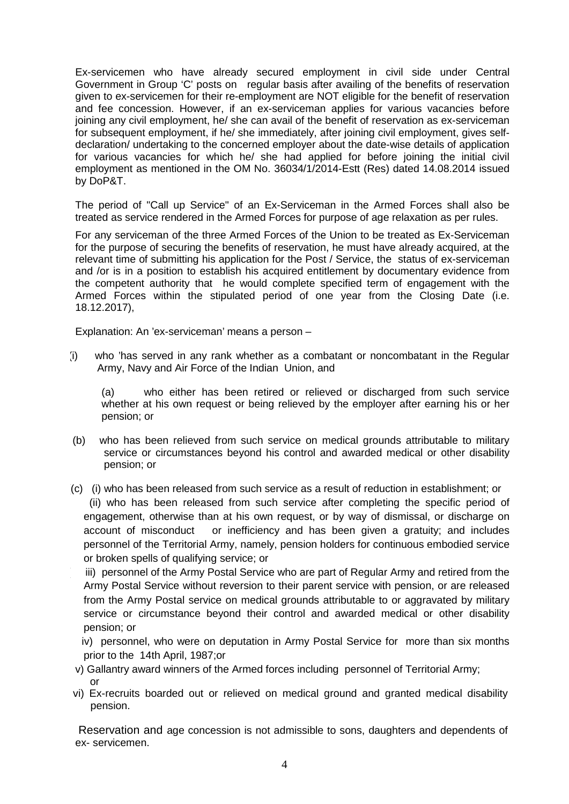Ex-servicemen who have already secured employment in civil side under Central Government in Group 'C' posts on regular basis after availing of the benefits of reservation given to ex-servicemen for their re-employment are NOT eligible for the benefit of reservation and fee concession. However, if an ex-serviceman applies for various vacancies before joining any civil employment, he/ she can avail of the benefit of reservation as ex-serviceman for subsequent employment, if he/ she immediately, after joining civil employment, gives selfdeclaration/ undertaking to the concerned employer about the date-wise details of application for various vacancies for which he/ she had applied for before joining the initial civil employment as mentioned in the OM No. 36034/1/2014-Estt (Res) dated 14.08.2014 issued by DoP&T.

The period of "Call up Service" of an Ex-Serviceman in the Armed Forces shall also be treated as service rendered in the Armed Forces for purpose of age relaxation as per rules.

For any serviceman of the three Armed Forces of the Union to be treated as Ex-Serviceman for the purpose of securing the benefits of reservation, he must have already acquired, at the relevant time of submitting his application for the Post / Service, the status of ex-serviceman and /or is in a position to establish his acquired entitlement by documentary evidence from the competent authority that he would complete specified term of engagement with the Armed Forces within the stipulated period of one year from the Closing Date (i.e. 18.12.2017),

Explanation: An 'ex-serviceman' means a person –

(i) who 'has served in any rank whether as a combatant or noncombatant in the Regular Army, Navy and Air Force of the Indian Union, and

(a) who either has been retired or relieved or discharged from such service whether at his own request or being relieved by the employer after earning his or her pension; or

- (b) who has been relieved from such service on medical grounds attributable to military service or circumstances beyond his control and awarded medical or other disability pension; or
- ((c) (i) who has been released from such service as a result of reduction in establishment; or (ii) who has been released from such service after completing the specific period of engagement, otherwise than at his own request, or by way of dismissal, or discharge on account of misconduct or inefficiency and has been given a gratuity; and includes personnel of the Territorial Army, namely, pension holders for continuous embodied service or broken spells of qualifying service; or

iii) personnel of the Army Postal Service who are part of Regular Army and retired from the Army Postal Service without reversion to their parent service with pension, or are released from the Army Postal service on medical grounds attributable to or aggravated by military service or circumstance beyond their control and awarded medical or other disability pension; or

iv) personnel, who were on deputation in Army Postal Service for more than six months prior to the 14th April, 1987;or

- v) Gallantry award winners of the Armed forces including personnel of Territorial Army; or
- vi) Ex-recruits boarded out or relieved on medical ground and granted medical disability pension.

Reservation and age concession is not admissible to sons, daughters and dependents of ex- servicemen.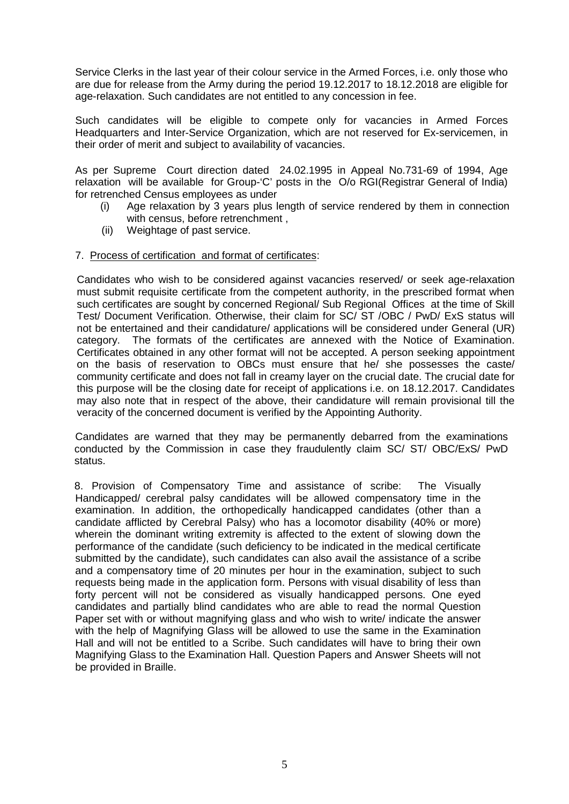Service Clerks in the last year of their colour service in the Armed Forces, i.e. only those who are due for release from the Army during the period 19.12.2017 to 18.12.2018 are eligible for age-relaxation. Such candidates are not entitled to any concession in fee.

Such candidates will be eligible to compete only for vacancies in Armed Forces Headquarters and Inter-Service Organization, which are not reserved for Ex-servicemen, in their order of merit and subject to availability of vacancies.

As per Supreme Court direction dated 24.02.1995 in Appeal No.731-69 of 1994, Age relaxation will be available for Group-'C' posts in the O/o RGI(Registrar General of India) for retrenched Census employees as under

- (i) Age relaxation by 3 years plus length of service rendered by them in connection with census, before retrenchment ,
- (ii) Weightage of past service.

#### 7. Process of certification and format of certificates:

Candidates who wish to be considered against vacancies reserved/ or seek age-relaxation must submit requisite certificate from the competent authority, in the prescribed format when such certificates are sought by concerned Regional/ Sub Regional Offices at the time of Skill Test/ Document Verification. Otherwise, their claim for SC/ ST /OBC / PwD/ ExS status will not be entertained and their candidature/ applications will be considered under General (UR) category. The formats of the certificates are annexed with the Notice of Examination. Certificates obtained in any other format will not be accepted. A person seeking appointment on the basis of reservation to OBCs must ensure that he/ she possesses the caste/ community certificate and does not fall in creamy layer on the crucial date. The crucial date for this purpose will be the closing date for receipt of applications i.e. on 18.12.2017. Candidates may also note that in respect of the above, their candidature will remain provisional till the veracity of the concerned document is verified by the Appointing Authority.

Candidates are warned that they may be permanently debarred from the examinations conducted by the Commission in case they fraudulently claim SC/ ST/ OBC/ExS/ PwD status.

8. Provision of Compensatory Time and assistance of scribe: The Visually Handicapped/ cerebral palsy candidates will be allowed compensatory time in the examination. In addition, the orthopedically handicapped candidates (other than a candidate afflicted by Cerebral Palsy) who has a locomotor disability (40% or more) wherein the dominant writing extremity is affected to the extent of slowing down the performance of the candidate (such deficiency to be indicated in the medical certificate submitted by the candidate), such candidates can also avail the assistance of a scribe and a compensatory time of 20 minutes per hour in the examination, subject to such requests being made in the application form. Persons with visual disability of less than forty percent will not be considered as visually handicapped persons. One eyed candidates and partially blind candidates who are able to read the normal Question Paper set with or without magnifying glass and who wish to write/ indicate the answer with the help of Magnifying Glass will be allowed to use the same in the Examination Hall and will not be entitled to a Scribe. Such candidates will have to bring their own Magnifying Glass to the Examination Hall. Question Papers and Answer Sheets will not be provided in Braille.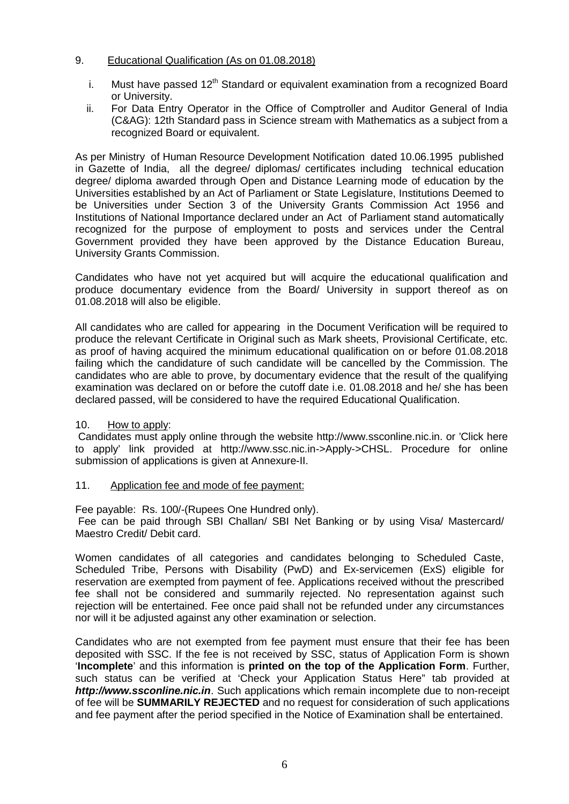## 9. Educational Qualification (As on 01.08.2018)

- i. Must have passed  $12<sup>th</sup>$  Standard or equivalent examination from a recognized Board or University.
- ii. For Data Entry Operator in the Office of Comptroller and Auditor General of India (C&AG): 12th Standard pass in Science stream with Mathematics as a subject from a recognized Board or equivalent.

As per Ministry of Human Resource Development Notification dated 10.06.1995 published in Gazette of India, all the degree/ diplomas/ certificates including technical education degree/ diploma awarded through Open and Distance Learning mode of education by the Universities established by an Act of Parliament or State Legislature, Institutions Deemed to be Universities under Section 3 of the University Grants Commission Act 1956 and Institutions of National Importance declared under an Act of Parliament stand automatically recognized for the purpose of employment to posts and services under the Central Government provided they have been approved by the Distance Education Bureau, University Grants Commission.

Candidates who have not yet acquired but will acquire the educational qualification and produce documentary evidence from the Board/ University in support thereof as on 01.08.2018 will also be eligible.

All candidates who are called for appearing in the Document Verification will be required to produce the relevant Certificate in Original such as Mark sheets, Provisional Certificate, etc. as proof of having acquired the minimum educational qualification on or before 01.08.2018 failing which the candidature of such candidate will be cancelled by the Commission. The candidates who are able to prove, by documentary evidence that the result of the qualifying examination was declared on or before the cutoff date i.e. 01.08.2018 and he/ she has been declared passed, will be considered to have the required Educational Qualification.

#### 10. How to apply:

Candidates must apply online through the website http://www.ssconline.nic.in. or 'Click here to apply' link provided at http://www.ssc.nic.in->Apply->CHSL. Procedure for online submission of applications is given at Annexure-II.

#### 11. Application fee and mode of fee payment:

Fee payable: Rs. 100/-(Rupees One Hundred only).

Fee can be paid through SBI Challan/ SBI Net Banking or by using Visa/ Mastercard/ Maestro Credit/ Debit card.

Women candidates of all categories and candidates belonging to Scheduled Caste, Scheduled Tribe, Persons with Disability (PwD) and Ex-servicemen (ExS) eligible for reservation are exempted from payment of fee. Applications received without the prescribed fee shall not be considered and summarily rejected. No representation against such rejection will be entertained. Fee once paid shall not be refunded under any circumstances nor will it be adjusted against any other examination or selection.

Candidates who are not exempted from fee payment must ensure that their fee has been deposited with SSC. If the fee is not received by SSC, status of Application Form is shown '**Incomplete**' and this information is **printed on the top of the Application Form**. Further, such status can be verified at 'Check your Application Status Here" tab provided at *http://www.ssconline.nic.in*. Such applications which remain incomplete due to non-receipt of fee will be **SUMMARILY REJECTED** and no request for consideration of such applications and fee payment after the period specified in the Notice of Examination shall be entertained.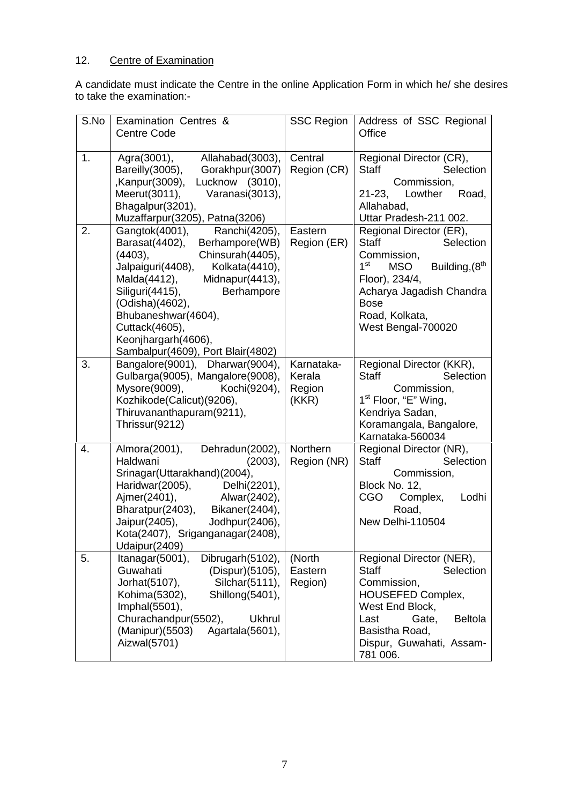# 12. Centre of Examination

A candidate must indicate the Centre in the online Application Form in which he/ she desires to take the examination:-

| S.No | Examination Centres &<br><b>Centre Code</b>                                                                                                                                                                                                                                                                                           | <b>SSC Region</b>                       | Address of SSC Regional<br>Office                                                                                                                                                                                                       |
|------|---------------------------------------------------------------------------------------------------------------------------------------------------------------------------------------------------------------------------------------------------------------------------------------------------------------------------------------|-----------------------------------------|-----------------------------------------------------------------------------------------------------------------------------------------------------------------------------------------------------------------------------------------|
| 1.   | Agra(3001),<br>Allahabad(3003),<br>Bareilly(3005),<br>Gorakhpur(3007)<br>Lucknow (3010),<br>,Kanpur(3009),<br>Meerut(3011),<br>Varanasi(3013),<br>Bhagalpur(3201),<br>Muzaffarpur(3205), Patna(3206)                                                                                                                                  | Central<br>Region (CR)                  | Regional Director (CR),<br>Selection<br><b>Staff</b><br>Commission,<br>$21 - 23$ ,<br>Lowther<br>Road,<br>Allahabad,<br>Uttar Pradesh-211 002.                                                                                          |
| 2.   | Gangtok(4001),<br>Ranchi(4205),<br>Barasat(4402),<br>Berhampore(WB)<br>Chinsurah(4405),<br>(4403),<br>Jalpaiguri(4408),<br>Kolkata(4410),<br>Midnapur(4413),<br>Malda(4412),<br>Siliguri(4415),<br>Berhampore<br>(Odisha)(4602),<br>Bhubaneshwar(4604),<br>Cuttack(4605),<br>Keonjhargarh(4606),<br>Sambalpur(4609), Port Blair(4802) | Eastern<br>Region (ER)                  | Regional Director (ER),<br><b>Staff</b><br>Selection<br>Commission,<br>1 <sup>st</sup><br>Building, (8 <sup>th</sup><br><b>MSO</b><br>Floor), 234/4,<br>Acharya Jagadish Chandra<br><b>Bose</b><br>Road, Kolkata,<br>West Bengal-700020 |
| 3.   | Bangalore(9001), Dharwar(9004),<br>Gulbarga(9005), Mangalore(9008),<br>Mysore(9009),<br>Kochi(9204),<br>Kozhikode(Calicut)(9206),<br>Thiruvananthapuram(9211),<br>Thrissur(9212)                                                                                                                                                      | Karnataka-<br>Kerala<br>Region<br>(KKR) | Regional Director (KKR),<br><b>Staff</b><br>Selection<br>Commission,<br>1 <sup>st</sup> Floor, "E" Wing,<br>Kendriya Sadan,<br>Koramangala, Bangalore,<br>Karnataka-560034                                                              |
| 4.   | Almora(2001),<br>Dehradun(2002),<br>Haldwani<br>(2003),<br>Srinagar(Uttarakhand)(2004),<br>Haridwar(2005),<br>Delhi(2201),<br>Ajmer(2401),<br>Alwar(2402),<br>Bharatpur(2403),<br>Bikaner(2404),<br>Jaipur(2405),<br>Jodhpur(2406),<br>Kota(2407), Sriganganagar(2408),<br>Udaipur(2409)                                              | Northern<br>Region (NR)                 | Regional Director (NR),<br><b>Staff</b><br>Selection<br>Commission,<br>Block No. 12,<br><b>CGO</b><br>Complex,<br>Lodhi<br>Road,<br>New Delhi-110504                                                                                    |
| 5.   | Itanagar(5001),<br>Dibrugarh(5102),<br>Guwahati<br>(Dispur)(5105),<br>Jorhat(5107),<br>Silchar(5111),<br>Kohima(5302),<br>Shillong(5401),<br>Imphal(5501),<br>Churachandpur(5502),<br><b>Ukhrul</b><br>(Manipur)(5503)<br>Agartala(5601),<br>Aizwal(5701)                                                                             | (North<br>Eastern<br>Region)            | Regional Director (NER),<br><b>Staff</b><br>Selection<br>Commission,<br><b>HOUSEFED Complex,</b><br>West End Block,<br><b>Beltola</b><br>Last<br>Gate,<br>Basistha Road,<br>Dispur, Guwahati, Assam-<br>781 006.                        |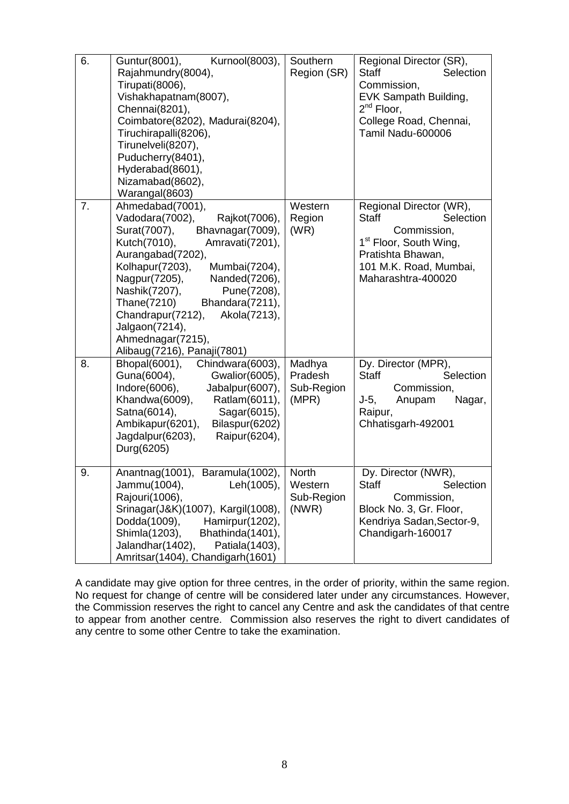| 6. | Guntur(8001),<br>Kurnool(8003),<br>Rajahmundry(8004),<br>Tirupati(8006),<br>Vishakhapatnam(8007),<br>Chennai(8201),<br>Coimbatore(8202), Madurai(8204),<br>Tiruchirapalli(8206),<br>Tirunelveli(8207),<br>Puducherry(8401),<br>Hyderabad(8601),<br>Nizamabad(8602),<br>Warangal(8603)                                                                                                               | Southern<br>Region (SR)                  | Regional Director (SR),<br><b>Staff</b><br>Selection<br>Commission,<br>EVK Sampath Building,<br>$2^{nd}$ Floor,<br>College Road, Chennai,<br>Tamil Nadu-600006                 |
|----|-----------------------------------------------------------------------------------------------------------------------------------------------------------------------------------------------------------------------------------------------------------------------------------------------------------------------------------------------------------------------------------------------------|------------------------------------------|--------------------------------------------------------------------------------------------------------------------------------------------------------------------------------|
| 7. | Ahmedabad(7001),<br>Vadodara(7002),<br>Rajkot(7006),<br>Surat(7007),<br>Bhavnagar(7009),<br>Kutch(7010),<br>Amravati(7201),<br>Aurangabad(7202),<br>Kolhapur(7203),<br>Mumbai(7204),<br>Nagpur(7205),<br>Nanded(7206),<br>Nashik(7207),<br>Pune(7208),<br>Thane(7210)<br>Bhandara(7211),<br>Chandrapur(7212),<br>Akola(7213),<br>Jalgaon(7214),<br>Ahmednagar(7215),<br>Alibaug(7216), Panaji(7801) | Western<br>Region<br>(WR)                | Regional Director (WR),<br><b>Staff</b><br>Selection<br>Commission,<br>1 <sup>st</sup> Floor, South Wing,<br>Pratishta Bhawan,<br>101 M.K. Road, Mumbai,<br>Maharashtra-400020 |
| 8. | Bhopal(6001),<br>Chindwara(6003),<br>Guna(6004),<br>Gwalior(6005),<br>Indore(6006),<br>Jabalpur(6007),<br>Khandwa(6009),<br>Ratlam(6011),<br>Satna(6014),<br>Sagar(6015),<br>Ambikapur(6201),<br>Bilaspur(6202)<br>Jagdalpur(6203),<br>Raipur(6204),<br>Durg(6205)                                                                                                                                  | Madhya<br>Pradesh<br>Sub-Region<br>(MPR) | Dy. Director (MPR),<br><b>Staff</b><br>Selection<br>Commission,<br>$J-5,$<br>Anupam<br>Nagar,<br>Raipur,<br>Chhatisgarh-492001                                                 |
| 9. | Anantnag(1001), Baramula(1002),<br>Jammu(1004),<br>Leh(1005),<br>Rajouri(1006),<br>Srinagar(J&K)(1007), Kargil(1008),<br>Dodda(1009),<br>Hamirpur(1202),<br>Shimla(1203),<br>Bhathinda(1401),<br>Jalandhar(1402),<br>Patiala(1403),<br>Amritsar(1404), Chandigarh(1601)                                                                                                                             | North<br>Western<br>Sub-Region<br>(NWR)  | Dy. Director (NWR),<br><b>Staff</b><br>Selection<br>Commission,<br>Block No. 3, Gr. Floor,<br>Kendriya Sadan, Sector-9,<br>Chandigarh-160017                                   |

A candidate may give option for three centres, in the order of priority, within the same region. No request for change of centre will be considered later under any circumstances. However, the Commission reserves the right to cancel any Centre and ask the candidates of that centre to appear from another centre. Commission also reserves the right to divert candidates of any centre to some other Centre to take the examination.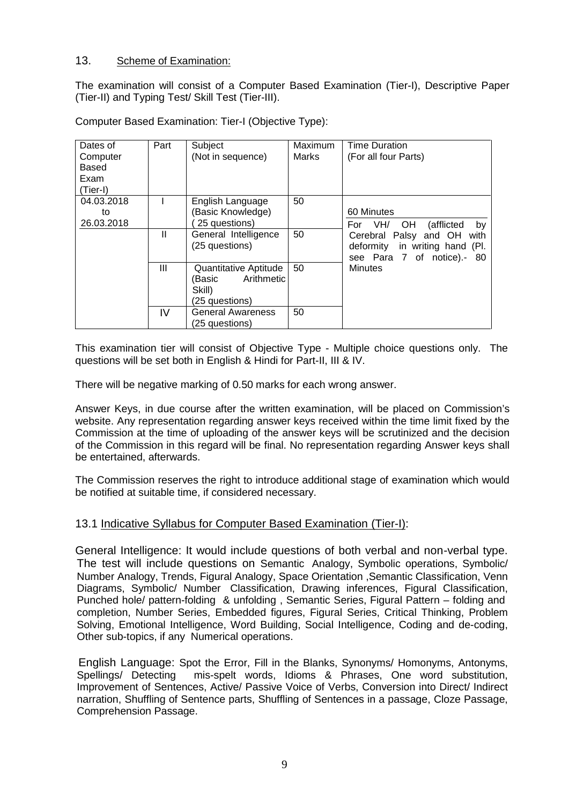## 13. Scheme of Examination:

The examination will consist of a Computer Based Examination (Tier-I), Descriptive Paper (Tier-II) and Typing Test/ Skill Test (Tier-III).

| Dates of<br>Computer<br>Based<br>Exam<br>(Tier-I) | Part         | Subject<br>(Not in sequence)                                              | Maximum<br>Marks | <b>Time Duration</b><br>(For all four Parts)                                                     |
|---------------------------------------------------|--------------|---------------------------------------------------------------------------|------------------|--------------------------------------------------------------------------------------------------|
| 04.03.2018<br>to<br>26.03.2018                    |              | English Language<br>(Basic Knowledge)<br>25 questions)                    | 50               | 60 Minutes<br>(afflicted<br>OH.<br>For<br>VH/<br>by                                              |
|                                                   | $\mathbf{I}$ | General Intelligence<br>(25 questions)                                    | 50               | Cerebral Palsy and OH<br>with<br>deformity in writing hand (Pl.<br>see Para 7 of notice).-<br>80 |
|                                                   | Ш            | Quantitative Aptitude<br>Arithmetic<br>(Basic<br>Skill)<br>(25 questions) | 50               | <b>Minutes</b>                                                                                   |
|                                                   | IV           | <b>General Awareness</b><br>(25 questions)                                | 50               |                                                                                                  |

Computer Based Examination: Tier-I (Objective Type):

This examination tier will consist of Objective Type - Multiple choice questions only. The questions will be set both in English & Hindi for Part-II, III & IV.

There will be negative marking of 0.50 marks for each wrong answer.

Answer Keys, in due course after the written examination, will be placed on Commission's website. Any representation regarding answer keys received within the time limit fixed by the Commission at the time of uploading of the answer keys will be scrutinized and the decision of the Commission in this regard will be final. No representation regarding Answer keys shall be entertained, afterwards.

The Commission reserves the right to introduce additional stage of examination which would be notified at suitable time, if considered necessary.

## 13.1 Indicative Syllabus for Computer Based Examination (Tier-I):

General Intelligence: It would include questions of both verbal and non-verbal type. The test will include questions on Semantic Analogy, Symbolic operations, Symbolic/ Number Analogy, Trends, Figural Analogy, Space Orientation ,Semantic Classification, Venn Diagrams, Symbolic/ Number Classification, Drawing inferences, Figural Classification, Punched hole/ pattern-folding & unfolding , Semantic Series, Figural Pattern – folding and completion, Number Series, Embedded figures, Figural Series, Critical Thinking, Problem Solving, Emotional Intelligence, Word Building, Social Intelligence, Coding and de-coding, Other sub-topics, if any Numerical operations.

English Language: Spot the Error, Fill in the Blanks, Synonyms/ Homonyms, Antonyms, Spellings/ Detecting mis-spelt words, Idioms & Phrases, One word substitution, Improvement of Sentences, Active/ Passive Voice of Verbs, Conversion into Direct/ Indirect narration, Shuffling of Sentence parts, Shuffling of Sentences in a passage, Cloze Passage, Comprehension Passage.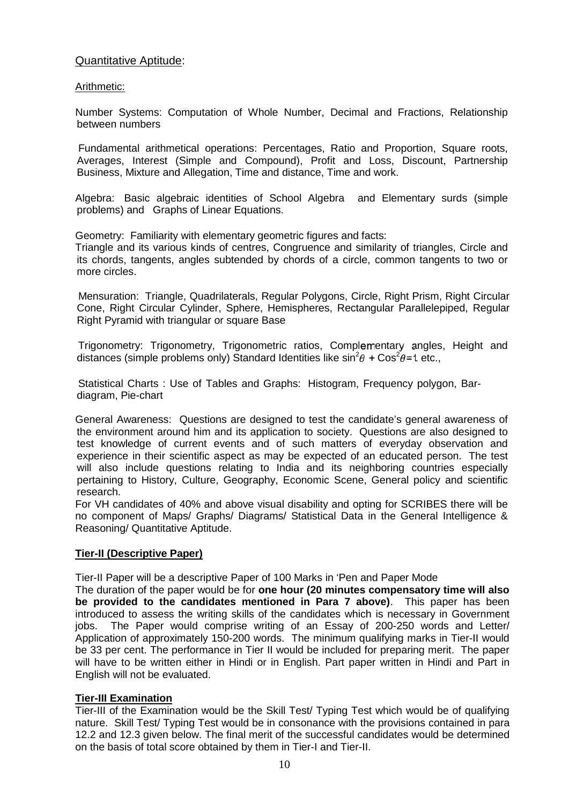## Quantitative Aptitude:

#### Arithmetic:

Number Systems: Computation of Whole Number, Decimal and Fractions, Relationship between numbers

Fundamental arithmetical operations: Percentages, Ratio and Proportion, Square roots, Averages, Interest (Simple and Compound), Profit and Loss, Discount, Partnership Business, Mixture and Allegation, Time and distance, Time and work.

Algebra: Basic algebraic identities of School Algebra and Elementary surds (simple problems) and Graphs of Linear Equations.

Geometry: Familiarity with elementary geometric figures and facts:

Triangle and its various kinds of centres, Congruence and similarity of triangles, Circle and its chords, tangents, angles subtended by chords of a circle, common tangents to two or more circles.

Mensuration: Triangle, Quadrilaterals, Regular Polygons, Circle, Right Prism, Right Circular Cone, Right Circular Cylinder, Sphere, Hemispheres, Rectangular Parallelepiped, Regular Right Pyramid with triangular or square Base

Trigonometry: Trigonometry, Trigonometric ratios, Complementary angles, Height and distances (simple problems only) Standard Identities like  $\sin^2\theta + \cos^2\theta = 1$  etc.,

Statistical Charts : Use of Tables and Graphs: Histogram, Frequency polygon, Bar diagram, Pie-chart

General Awareness: Questions are designed to test the candidate's general awareness of the environment around him and its application to society. Questions are also designed to test knowledge of current events and of such matters of everyday observation and experience in their scientific aspect as may be expected of an educated person. The test will also include questions relating to India and its neighboring countries especially pertaining to History, Culture, Geography, Economic Scene, General policy and scientific research.

For VH candidates of 40% and above visual disability and opting for SCRIBES there will be no component of Maps/ Graphs/ Diagrams/ Statistical Data in the General Intelligence & Reasoning/ Quantitative Aptitude.

#### **Tier-II (Descriptive Paper)**

Tier-II Paper will be a descriptive Paper of 100 Marks in 'Pen and Paper Mode

The duration of the paper would be for **one hour (20 minutes compensatory time will also be provided to the candidates mentioned in Para 7 above)**. This paper has been introduced to assess the writing skills of the candidates which is necessary in Government jobs. The Paper would comprise writing of an Essay of 200-250 words and Letter/ Application of approximately 150-200 words. The minimum qualifying marks in Tier-II would be 33 per cent. The performance in Tier II would be included for preparing merit. The paper will have to be written either in Hindi or in English. Part paper written in Hindi and Part in English will not be evaluated.

#### **Tier-III Examination**

Tier-III of the Examination would be the Skill Test/ Typing Test which would be of qualifying nature. Skill Test/ Typing Test would be in consonance with the provisions contained in para 12.2 and 12.3 given below. The final merit of the successful candidates would be determined on the basis of total score obtained by them in Tier-I and Tier-II.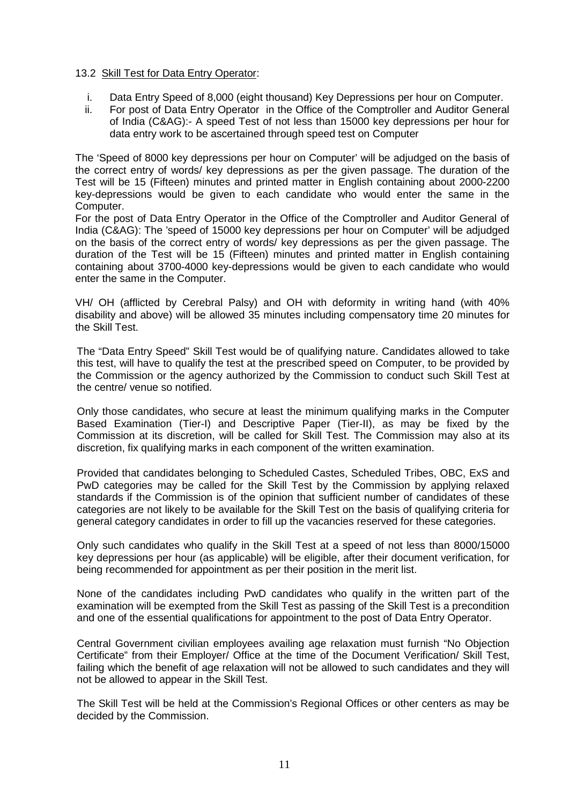#### 13.2 Skill Test for Data Entry Operator:

- i. Data Entry Speed of 8,000 (eight thousand) Key Depressions per hour on Computer.<br>ii. For post of Data Entry Operator in the Office of the Comptroller and Auditor Genera
- For post of Data Entry Operator in the Office of the Comptroller and Auditor General of India (C&AG):- A speed Test of not less than 15000 key depressions per hour for data entry work to be ascertained through speed test on Computer

The 'Speed of 8000 key depressions per hour on Computer' will be adjudged on the basis of the correct entry of words/ key depressions as per the given passage. The duration of the Test will be 15 (Fifteen) minutes and printed matter in English containing about 2000-2200 key-depressions would be given to each candidate who would enter the same in the Computer.

For the post of Data Entry Operator in the Office of the Comptroller and Auditor General of India (C&AG): The 'speed of 15000 key depressions per hour on Computer' will be adjudged on the basis of the correct entry of words/ key depressions as per the given passage. The duration of the Test will be 15 (Fifteen) minutes and printed matter in English containing containing about 3700-4000 key-depressions would be given to each candidate who would enter the same in the Computer.

VH/ OH (afflicted by Cerebral Palsy) and OH with deformity in writing hand (with 40% disability and above) will be allowed 35 minutes including compensatory time 20 minutes for the Skill Test.

The "Data Entry Speed" Skill Test would be of qualifying nature. Candidates allowed to take this test, will have to qualify the test at the prescribed speed on Computer, to be provided by the Commission or the agency authorized by the Commission to conduct such Skill Test at the centre/ venue so notified.

Only those candidates, who secure at least the minimum qualifying marks in the Computer Based Examination (Tier-I) and Descriptive Paper (Tier-II), as may be fixed by the Commission at its discretion, will be called for Skill Test. The Commission may also at its discretion, fix qualifying marks in each component of the written examination.

Provided that candidates belonging to Scheduled Castes, Scheduled Tribes, OBC, ExS and PwD categories may be called for the Skill Test by the Commission by applying relaxed standards if the Commission is of the opinion that sufficient number of candidates of these categories are not likely to be available for the Skill Test on the basis of qualifying criteria for general category candidates in order to fill up the vacancies reserved for these categories.

Only such candidates who qualify in the Skill Test at a speed of not less than 8000/15000 key depressions per hour (as applicable) will be eligible, after their document verification, for being recommended for appointment as per their position in the merit list.

None of the candidates including PwD candidates who qualify in the written part of the examination will be exempted from the Skill Test as passing of the Skill Test is a precondition and one of the essential qualifications for appointment to the post of Data Entry Operator.

Central Government civilian employees availing age relaxation must furnish "No Objection Certificate" from their Employer/ Office at the time of the Document Verification/ Skill Test, failing which the benefit of age relaxation will not be allowed to such candidates and they will not be allowed to appear in the Skill Test.

The Skill Test will be held at the Commission's Regional Offices or other centers as may be decided by the Commission.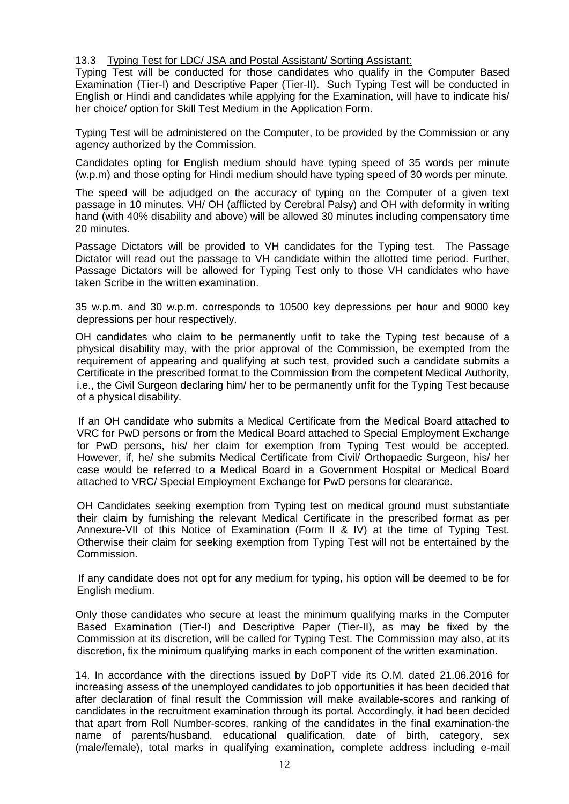#### 13.3 Typing Test for LDC/ JSA and Postal Assistant/ Sorting Assistant:

Typing Test will be conducted for those candidates who qualify in the Computer Based Examination (Tier-I) and Descriptive Paper (Tier-II). Such Typing Test will be conducted in English or Hindi and candidates while applying for the Examination, will have to indicate his/ her choice/ option for Skill Test Medium in the Application Form.

Typing Test will be administered on the Computer, to be provided by the Commission or any agency authorized by the Commission.

Candidates opting for English medium should have typing speed of 35 words per minute (w.p.m) and those opting for Hindi medium should have typing speed of 30 words per minute.

The speed will be adjudged on the accuracy of typing on the Computer of a given text passage in 10 minutes. VH/ OH (afflicted by Cerebral Palsy) and OH with deformity in writing hand (with 40% disability and above) will be allowed 30 minutes including compensatory time 20 minutes.

Passage Dictators will be provided to VH candidates for the Typing test. The Passage Dictator will read out the passage to VH candidate within the allotted time period. Further, Passage Dictators will be allowed for Typing Test only to those VH candidates who have taken Scribe in the written examination.

35 w.p.m. and 30 w.p.m. corresponds to 10500 key depressions per hour and 9000 key depressions per hour respectively.

OH candidates who claim to be permanently unfit to take the Typing test because of a physical disability may, with the prior approval of the Commission, be exempted from the requirement of appearing and qualifying at such test, provided such a candidate submits a Certificate in the prescribed format to the Commission from the competent Medical Authority, i.e., the Civil Surgeon declaring him/ her to be permanently unfit for the Typing Test because of a physical disability.

If an OH candidate who submits a Medical Certificate from the Medical Board attached to VRC for PwD persons or from the Medical Board attached to Special Employment Exchange for PwD persons, his/ her claim for exemption from Typing Test would be accepted. However, if, he/ she submits Medical Certificate from Civil/ Orthopaedic Surgeon, his/ her case would be referred to a Medical Board in a Government Hospital or Medical Board attached to VRC/ Special Employment Exchange for PwD persons for clearance.

OH Candidates seeking exemption from Typing test on medical ground must substantiate their claim by furnishing the relevant Medical Certificate in the prescribed format as per Annexure-VII of this Notice of Examination (Form II & IV) at the time of Typing Test. Otherwise their claim for seeking exemption from Typing Test will not be entertained by the Commission.

If any candidate does not opt for any medium for typing, his option will be deemed to be for English medium.

Only those candidates who secure at least the minimum qualifying marks in the Computer Based Examination (Tier-I) and Descriptive Paper (Tier-II), as may be fixed by the Commission at its discretion, will be called for Typing Test. The Commission may also, at its discretion, fix the minimum qualifying marks in each component of the written examination.

14. In accordance with the directions issued by DoPT vide its O.M. dated 21.06.2016 for increasing assess of the unemployed candidates to job opportunities it has been decided that after declaration of final result the Commission will make available-scores and ranking of candidates in the recruitment examination through its portal. Accordingly, it had been decided that apart from Roll Number-scores, ranking of the candidates in the final examination-the name of parents/husband, educational qualification, date of birth, category, sex (male/female), total marks in qualifying examination, complete address including e-mail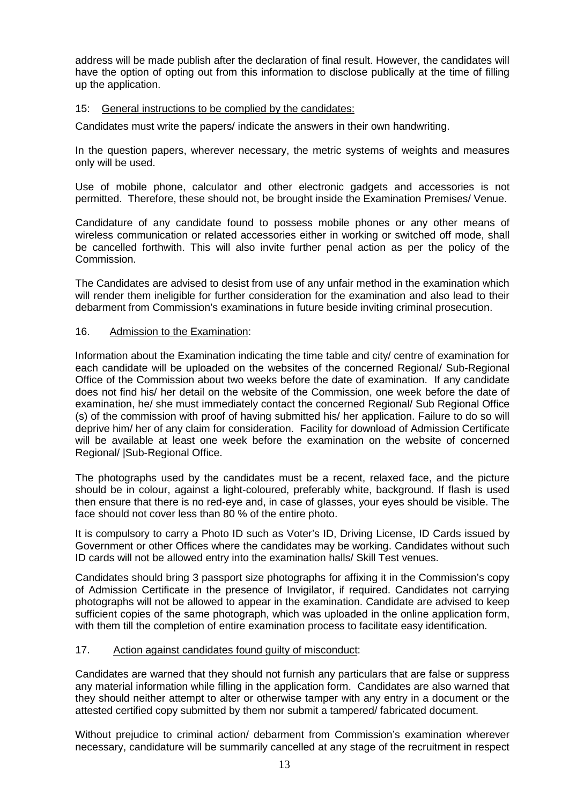address will be made publish after the declaration of final result. However, the candidates will have the option of opting out from this information to disclose publically at the time of filling up the application.

#### 15: General instructions to be complied by the candidates:

Candidates must write the papers/ indicate the answers in their own handwriting.

In the question papers, wherever necessary, the metric systems of weights and measures only will be used.

Use of mobile phone, calculator and other electronic gadgets and accessories is not permitted. Therefore, these should not, be brought inside the Examination Premises/ Venue.

Candidature of any candidate found to possess mobile phones or any other means of wireless communication or related accessories either in working or switched off mode, shall be cancelled forthwith. This will also invite further penal action as per the policy of the Commission.

The Candidates are advised to desist from use of any unfair method in the examination which will render them ineligible for further consideration for the examination and also lead to their debarment from Commission's examinations in future beside inviting criminal prosecution.

#### 16. Admission to the Examination:

Information about the Examination indicating the time table and city/centre of examination for each candidate will be uploaded on the websites of the concerned Regional/ Sub-Regional Office of the Commission about two weeks before the date of examination. If any candidate does not find his/ her detail on the website of the Commission, one week before the date of examination, he/ she must immediately contact the concerned Regional/ Sub Regional Office (s) of the commission with proof of having submitted his/ her application. Failure to do so will deprive him/ her of any claim for consideration. Facility for download of Admission Certificate will be available at least one week before the examination on the website of concerned Regional/ |Sub-Regional Office.

The photographs used by the candidates must be a recent, relaxed face, and the picture should be in colour, against a light-coloured, preferably white, background. If flash is used then ensure that there is no red-eye and, in case of glasses, your eyes should be visible. The face should not cover less than 80 % of the entire photo.

It is compulsory to carry a Photo ID such as Voter's ID, Driving License, ID Cards issued by Government or other Offices where the candidates may be working. Candidates without such ID cards will not be allowed entry into the examination halls/ Skill Test venues.

Candidates should bring 3 passport size photographs for affixing it in the Commission's copy of Admission Certificate in the presence of Invigilator, if required. Candidates not carrying photographs will not be allowed to appear in the examination. Candidate are advised to keep sufficient copies of the same photograph, which was uploaded in the online application form, with them till the completion of entire examination process to facilitate easy identification.

#### 17. Action against candidates found guilty of misconduct:

Candidates are warned that they should not furnish any particulars that are false or suppress any material information while filling in the application form. Candidates are also warned that they should neither attempt to alter or otherwise tamper with any entry in a document or the attested certified copy submitted by them nor submit a tampered/ fabricated document.

Without prejudice to criminal action/ debarment from Commission's examination wherever necessary, candidature will be summarily cancelled at any stage of the recruitment in respect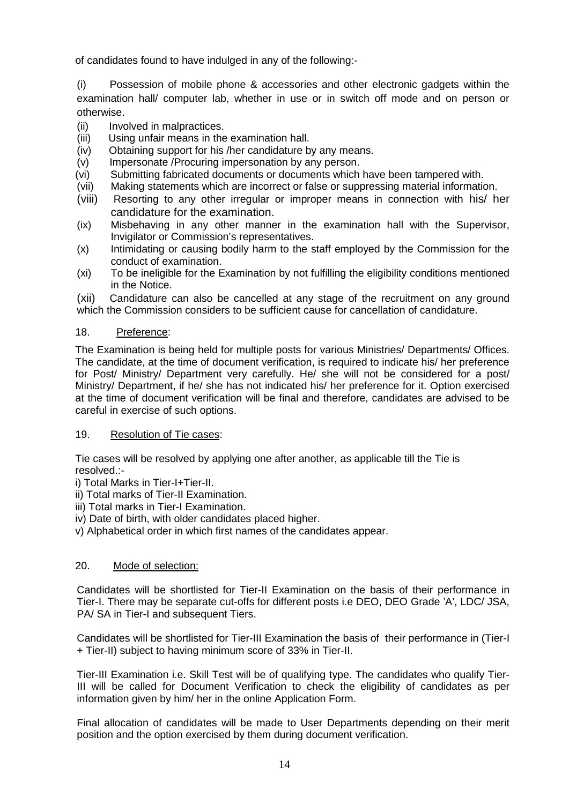of candidates found to have indulged in any of the following:-

(i) Possession of mobile phone & accessories and other electronic gadgets within the examination hall/ computer lab, whether in use or in switch off mode and on person or otherwise.

- (ii) Involved in malpractices.
- (iii) Using unfair means in the examination hall.
- (iv) Obtaining support for his /her candidature by any means.
- (v) Impersonate /Procuring impersonation by any person.
- (vi) Submitting fabricated documents or documents which have been tampered with.
- (vii) Making statements which are incorrect or false or suppressing material information.
- (viii) Resorting to any other irregular or improper means in connection with his/ her candidature for the examination.
- (ix) Misbehaving in any other manner in the examination hall with the Supervisor, Invigilator or Commission's representatives.
- (x) Intimidating or causing bodily harm to the staff employed by the Commission for the conduct of examination.
- (xi) To be ineligible for the Examination by not fulfilling the eligibility conditions mentioned in the Notice.

(xii) Candidature can also be cancelled at any stage of the recruitment on any ground which the Commission considers to be sufficient cause for cancellation of candidature.

#### 18. Preference:

The Examination is being held for multiple posts for various Ministries/ Departments/ Offices. The candidate, at the time of document verification, is required to indicate his/ her preference for Post/ Ministry/ Department very carefully. He/ she will not be considered for a post/ Ministry/ Department, if he/ she has not indicated his/ her preference for it. Option exercised at the time of document verification will be final and therefore, candidates are advised to be careful in exercise of such options.

#### 19. Resolution of Tie cases:

Tie cases will be resolved by applying one after another, as applicable till the Tie is resolved.:-

- i) Total Marks in Tier-I+Tier-II.
- ii) Total marks of Tier-II Examination.
- iii) Total marks in Tier-I Examination.
- iv) Date of birth, with older candidates placed higher.
- v) Alphabetical order in which first names of the candidates appear.

#### 20. Mode of selection:

Candidates will be shortlisted for Tier-II Examination on the basis of their performance in Tier-I. There may be separate cut-offs for different posts i.e DEO, DEO Grade 'A', LDC/ JSA, PA/ SA in Tier-I and subsequent Tiers.

Candidates will be shortlisted for Tier-III Examination the basis of their performance in (Tier-I + Tier-II) subject to having minimum score of 33% in Tier-II.

Tier-III Examination i.e. Skill Test will be of qualifying type. The candidates who qualify Tier-III will be called for Document Verification to check the eligibility of candidates as per information given by him/ her in the online Application Form.

Final allocation of candidates will be made to User Departments depending on their merit position and the option exercised by them during document verification.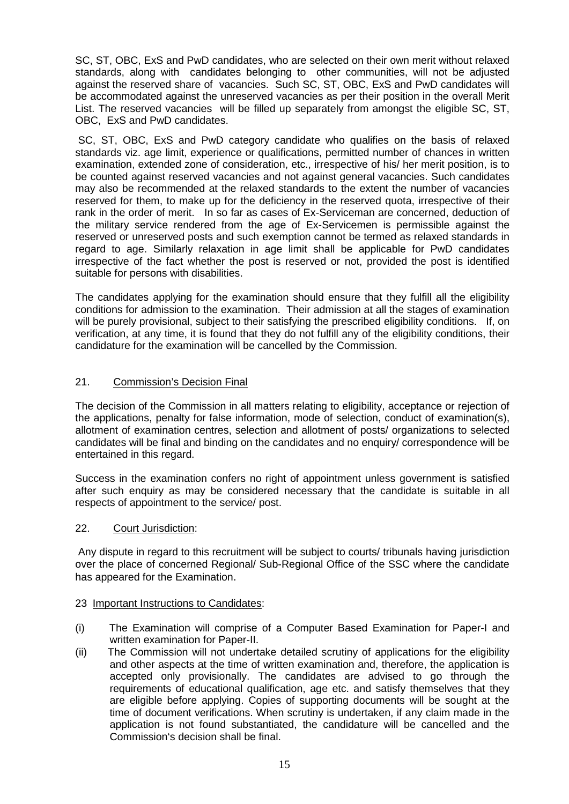SC, ST, OBC, ExS and PwD candidates, who are selected on their own merit without relaxed standards, along with candidates belonging to other communities, will not be adjusted against the reserved share of vacancies. Such SC, ST, OBC, ExS and PwD candidates will be accommodated against the unreserved vacancies as per their position in the overall Merit List. The reserved vacancies will be filled up separately from amongst the eligible SC, ST, OBC, ExS and PwD candidates.

SC, ST, OBC, ExS and PwD category candidate who qualifies on the basis of relaxed standards viz. age limit, experience or qualifications, permitted number of chances in written examination, extended zone of consideration, etc., irrespective of his/ her merit position, is to be counted against reserved vacancies and not against general vacancies. Such candidates may also be recommended at the relaxed standards to the extent the number of vacancies reserved for them, to make up for the deficiency in the reserved quota, irrespective of their rank in the order of merit. In so far as cases of Ex-Serviceman are concerned, deduction of the military service rendered from the age of Ex-Servicemen is permissible against the reserved or unreserved posts and such exemption cannot be termed as relaxed standards in regard to age. Similarly relaxation in age limit shall be applicable for PwD candidates irrespective of the fact whether the post is reserved or not, provided the post is identified suitable for persons with disabilities.

The candidates applying for the examination should ensure that they fulfill all the eligibility conditions for admission to the examination. Their admission at all the stages of examination will be purely provisional, subject to their satisfying the prescribed eligibility conditions. If, on verification, at any time, it is found that they do not fulfill any of the eligibility conditions, their candidature for the examination will be cancelled by the Commission.

## 21. Commission's Decision Final

The decision of the Commission in all matters relating to eligibility, acceptance or rejection of the applications, penalty for false information, mode of selection, conduct of examination(s), allotment of examination centres, selection and allotment of posts/ organizations to selected candidates will be final and binding on the candidates and no enquiry/ correspondence will be entertained in this regard.

Success in the examination confers no right of appointment unless government is satisfied after such enquiry as may be considered necessary that the candidate is suitable in all respects of appointment to the service/ post.

#### 22. Court Jurisdiction:

Any dispute in regard to this recruitment will be subject to courts/ tribunals having jurisdiction over the place of concerned Regional/ Sub-Regional Office of the SSC where the candidate has appeared for the Examination.

#### 22. 23 Important Instructions to Candidates:

- (i) The Examination will comprise of a Computer Based Examination for Paper-I and written examination for Paper-II.
- (ii) The Commission will not undertake detailed scrutiny of applications for the eligibility and other aspects at the time of written examination and, therefore, the application is accepted only provisionally. The candidates are advised to go through the requirements of educational qualification, age etc. and satisfy themselves that they are eligible before applying. Copies of supporting documents will be sought at the time of document verifications. When scrutiny is undertaken, if any claim made in the application is not found substantiated, the candidature will be cancelled and the Commission's decision shall be final.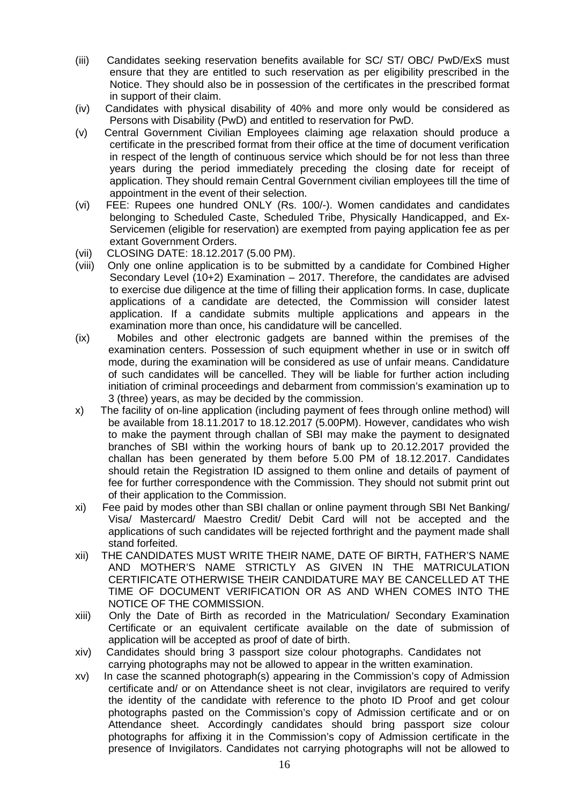- (iii) Candidates seeking reservation benefits available for SC/ ST/ OBC/ PwD/ExS must ensure that they are entitled to such reservation as per eligibility prescribed in the Notice. They should also be in possession of the certificates in the prescribed format in support of their claim.
- (iv) Candidates with physical disability of 40% and more only would be considered as Persons with Disability (PwD) and entitled to reservation for PwD.
- (v) Central Government Civilian Employees claiming age relaxation should produce a certificate in the prescribed format from their office at the time of document verification in respect of the length of continuous service which should be for not less than three years during the period immediately preceding the closing date for receipt of application. They should remain Central Government civilian employees till the time of appointment in the event of their selection.
- (vi) FEE: Rupees one hundred ONLY (Rs. 100/-). Women candidates and candidates belonging to Scheduled Caste, Scheduled Tribe, Physically Handicapped, and Ex- Servicemen (eligible for reservation) are exempted from paying application fee as per extant Government Orders.
- (vii) CLOSING DATE: 18.12.2017 (5.00 PM).
- (viii) Only one online application is to be submitted by a candidate for Combined Higher Secondary Level  $(10+2)$  Examination – 2017. Therefore, the candidates are advised to exercise due diligence at the time of filling their application forms. In case, duplicate applications of a candidate are detected, the Commission will consider latest application. If a candidate submits multiple applications and appears in the examination more than once, his candidature will be cancelled.
- (ix) Mobiles and other electronic gadgets are banned within the premises of the examination centers. Possession of such equipment whether in use or in switch off mode, during the examination will be considered as use of unfair means. Candidature of such candidates will be cancelled. They will be liable for further action including initiation of criminal proceedings and debarment from commission's examination up to 3 (three) years, as may be decided by the commission.
- x) The facility of on-line application (including payment of fees through online method) will be available from 18.11.2017 to 18.12.2017 (5.00PM). However, candidates who wish to make the payment through challan of SBI may make the payment to designated branches of SBI within the working hours of bank up to 20.12.2017 provided the challan has been generated by them before 5.00 PM of 18.12.2017. Candidates should retain the Registration ID assigned to them online and details of payment of fee for further correspondence with the Commission. They should not submit print out of their application to the Commission.
- xi) Fee paid by modes other than SBI challan or online payment through SBI Net Banking/ Visa/ Mastercard/ Maestro Credit/ Debit Card will not be accepted and the applications of such candidates will be rejected forthright and the payment made shall stand forfeited.
- xii) THE CANDIDATES MUST WRITE THEIR NAME, DATE OF BIRTH, FATHER'S NAME AND MOTHER'S NAME STRICTLY AS GIVEN IN THE MATRICULATION CERTIFICATE OTHERWISE THEIR CANDIDATURE MAY BE CANCELLED AT THE TIME OF DOCUMENT VERIFICATION OR AS AND WHEN COMES INTO THE NOTICE OF THE COMMISSION.
- xiii) Only the Date of Birth as recorded in the Matriculation/ Secondary Examination Certificate or an equivalent certificate available on the date of submission of application will be accepted as proof of date of birth.
- xiv) Candidates should bring 3 passport size colour photographs. Candidates not carrying photographs may not be allowed to appear in the written examination.
- xv) In case the scanned photograph(s) appearing in the Commission's copy of Admission certificate and/ or on Attendance sheet is not clear, invigilators are required to verify the identity of the candidate with reference to the photo ID Proof and get colour photographs pasted on the Commission's copy of Admission certificate and or on Attendance sheet. Accordingly candidates should bring passport size colour photographs for affixing it in the Commission's copy of Admission certificate in the presence of Invigilators. Candidates not carrying photographs will not be allowed to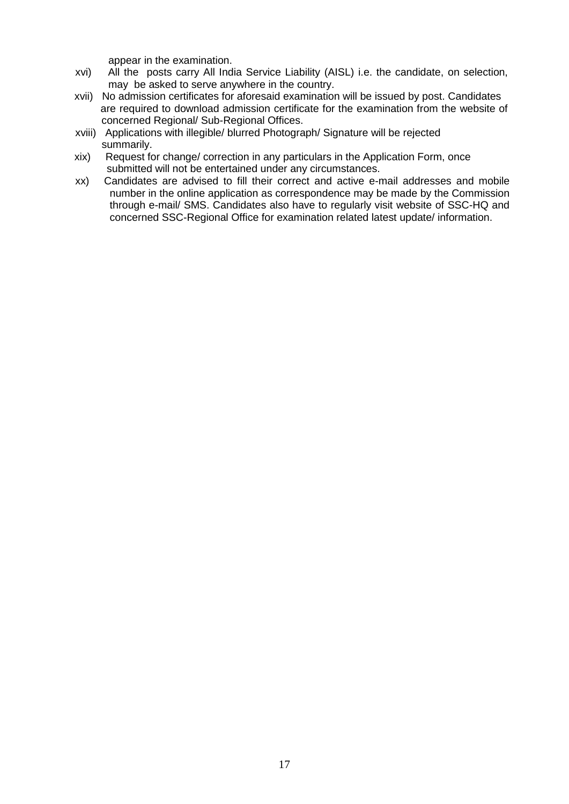appear in the examination.

- xvi) All the posts carry All India Service Liability (AISL) i.e. the candidate, on selection, may be asked to serve anywhere in the country.
- xvii) No admission certificates for aforesaid examination will be issued by post. Candidates are required to download admission certificate for the examination from the website of concerned Regional/ Sub-Regional Offices.
- xviii) Applications with illegible/ blurred Photograph/ Signature will be rejected summarily.
- xix) Request for change/ correction in any particulars in the Application Form, once submitted will not be entertained under any circumstances.
- xx) Candidates are advised to fill their correct and active e-mail addresses and mobile number in the online application as correspondence may be made by the Commission through e-mail/ SMS. Candidates also have to regularly visit website of SSC-HQ and concerned SSC-Regional Office for examination related latest update/ information.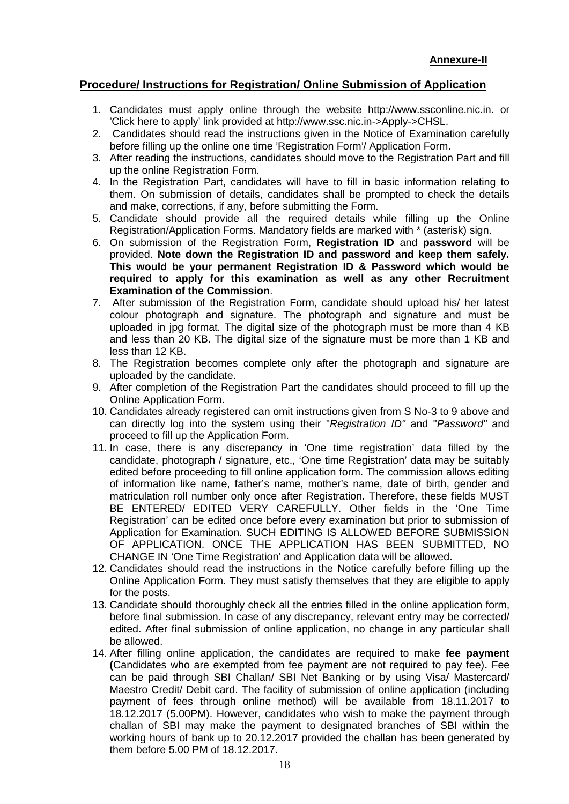## **Procedure/ Instructions for Registration/ Online Submission of Application**

- 1. Candidates must apply online through the website http://www.ssconline.nic.in. or 'Click here to apply' link provided at http://www.ssc.nic.in->Apply->CHSL.
- 2. Candidates should read the instructions given in the Notice of Examination carefully before filling up the online one time 'Registration Form'/ Application Form.
- 3. After reading the instructions, candidates should move to the Registration Part and fill up the online Registration Form.
- 4. In the Registration Part, candidates will have to fill in basic information relating to them. On submission of details, candidates shall be prompted to check the details and make, corrections, if any, before submitting the Form.
- 5. Candidate should provide all the required details while filling up the Online Registration/Application Forms. Mandatory fields are marked with \* (asterisk) sign.
- 6. On submission of the Registration Form, **Registration ID** and **password** will be provided. **Note down the Registration ID and password and keep them safely. This would be your permanent Registration ID & Password which would be required to apply for this examination as well as any other Recruitment Examination of the Commission**.
- 7. After submission of the Registration Form, candidate should upload his/ her latest colour photograph and signature. The photograph and signature and must be uploaded in jpg format. The digital size of the photograph must be more than 4 KB and less than 20 KB. The digital size of the signature must be more than 1 KB and less than 12 KB.
- 8. The Registration becomes complete only after the photograph and signature are uploaded by the candidate.
- 9. After completion of the Registration Part the candidates should proceed to fill up the Online Application Form.
- 10. Candidates already registered can omit instructions given from S No-3 to 9 above and can directly log into the system using their "*Registration ID"* and "*Password"* and proceed to fill up the Application Form.
- 11. In case, there is any discrepancy in 'One time registration' data filled by the candidate, photograph / signature, etc., 'One time Registration' data may be suitably edited before proceeding to fill online application form. The commission allows editing of information like name, father's name, mother's name, date of birth, gender and matriculation roll number only once after Registration. Therefore, these fields MUST BE ENTERED/ EDITED VERY CAREFULLY. Other fields in the 'One Time Registration' can be edited once before every examination but prior to submission of Application for Examination. SUCH EDITING IS ALLOWED BEFORE SUBMISSION OF APPLICATION. ONCE THE APPLICATION HAS BEEN SUBMITTED, NO CHANGE IN 'One Time Registration' and Application data will be allowed.
- 12. Candidates should read the instructions in the Notice carefully before filling up the Online Application Form. They must satisfy themselves that they are eligible to apply for the posts.
- 13. Candidate should thoroughly check all the entries filled in the online application form, before final submission. In case of any discrepancy, relevant entry may be corrected/ edited. After final submission of online application, no change in any particular shall be allowed.
- 14. After filling online application, the candidates are required to make **fee payment (**Candidates who are exempted from fee payment are not required to pay fee)**.** Fee can be paid through SBI Challan/ SBI Net Banking or by using Visa/ Mastercard/ Maestro Credit/ Debit card. The facility of submission of online application (including payment of fees through online method) will be available from 18.11.2017 to 18.12.2017 (5.00PM). However, candidates who wish to make the payment through challan of SBI may make the payment to designated branches of SBI within the working hours of bank up to 20.12.2017 provided the challan has been generated by them before 5.00 PM of 18.12.2017.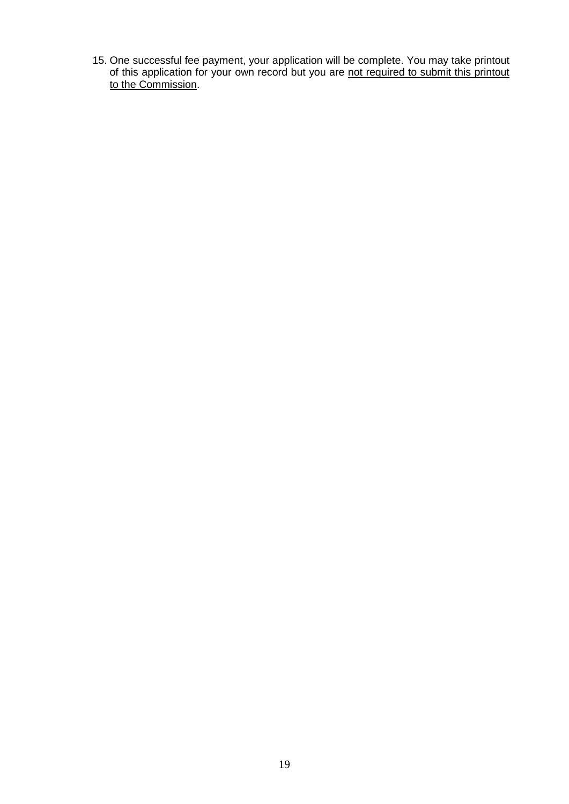15. One successful fee payment, your application will be complete. You may take printout of this application for your own record but you are not required to submit this printout to the Commission.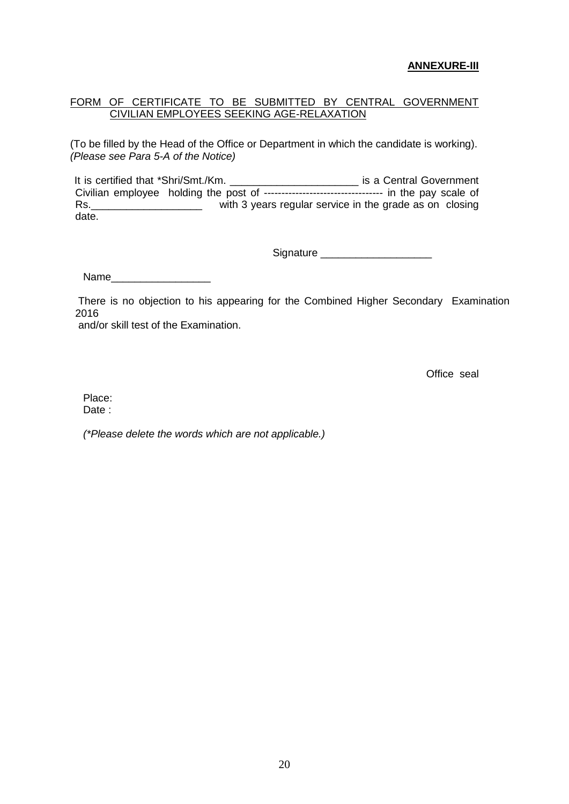#### **ANNEXURE-III**

#### FORM OF CERTIFICATE TO BE SUBMITTED BY CENTRAL GOVERNMENT CIVILIAN EMPLOYEES SEEKING AGE-RELAXATION

(To be filled by the Head of the Office or Department in which the candidate is working). *(Please see Para 5-A of the Notice)*

It is certified that \*Shri/Smt./Km. \_\_\_\_\_\_\_\_\_\_\_\_\_\_\_\_\_\_\_\_\_\_\_\_\_\_\_\_ is a Central Government Civilian employee holding the post of ---------------------------------- in the pay scale of Rs.\_\_\_\_\_\_\_\_\_\_\_\_\_\_\_\_\_\_\_\_\_\_\_\_\_\_\_\_ with 3 years regular service in the grade as on closing date.

Signature **Example 20** 

Name\_\_\_\_\_\_\_\_\_\_\_\_\_\_\_\_\_

There is no objection to his appearing for the Combined Higher Secondary Examination 2016

and/or skill test of the Examination.

Office seal

Place:

Date:

*(\*Please delete the words which are not applicable.)*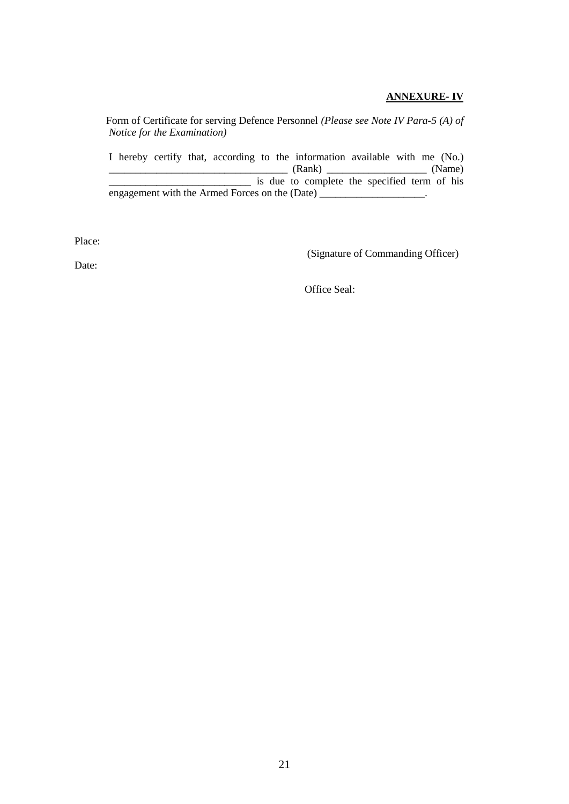#### **ANNEXURE- IV**

Form of Certificate for serving Defence Personnel *(Please see Note IV Para-5 (A) of Notice for the Examination)*

I hereby certify that, according to the information available with me (No.)  $\frac{1}{\text{Kame}}$  (Rank)  $\frac{1}{\text{Kame}}$ \_\_\_\_\_\_\_\_\_\_\_\_\_\_\_\_\_\_\_\_\_\_\_\_\_\_\_ is due to complete the specified term of his engagement with the Armed Forces on the (Date) \_\_\_\_\_\_\_\_\_\_\_\_\_\_\_\_\_\_\_\_.

Place:

(Signature of Commanding Officer)

Date:

Office Seal: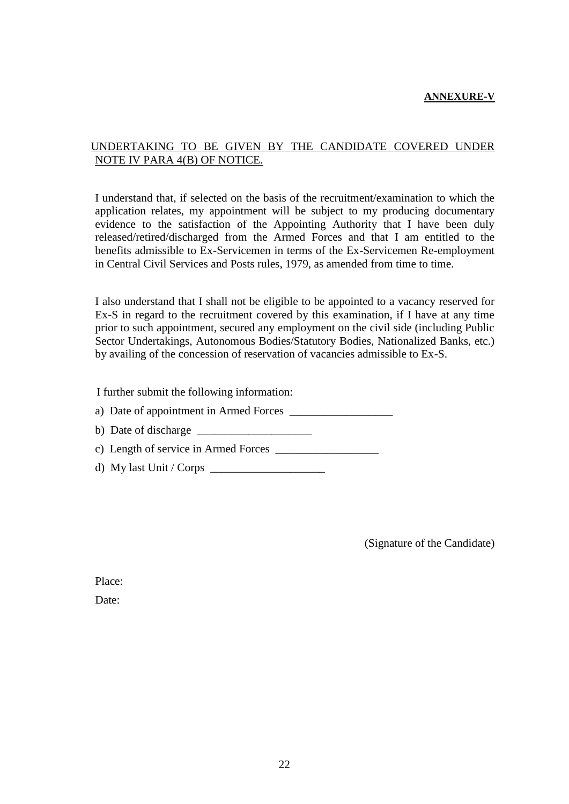#### **ANNEXURE-V**

## UNDERTAKING TO BE GIVEN BY THE CANDIDATE COVERED UNDER NOTE IV PARA 4(B) OF NOTICE.

I understand that, if selected on the basis of the recruitment/examination to which the application relates, my appointment will be subject to my producing documentary evidence to the satisfaction of the Appointing Authority that I have been duly released/retired/discharged from the Armed Forces and that I am entitled to the benefits admissible to Ex-Servicemen in terms of the Ex-Servicemen Re-employment in Central Civil Services and Posts rules, 1979, as amended from time to time.

I also understand that I shall not be eligible to be appointed to a vacancy reserved for Ex-S in regard to the recruitment covered by this examination, if I have at any time prior to such appointment, secured any employment on the civil side (including Public Sector Undertakings, Autonomous Bodies/Statutory Bodies, Nationalized Banks, etc.) by availing of the concession of reservation of vacancies admissible to Ex-S.

I further submit the following information:

a) Date of appointment in Armed Forces \_\_\_\_\_\_\_\_\_\_\_\_\_\_\_\_\_\_

b) Date of discharge  $\frac{1}{\sqrt{1-\frac{1}{2}}}\left| \frac{1}{\sqrt{1-\frac{1}{2}}}\right|$ 

c) Length of service in Armed Forces \_\_\_\_\_\_\_\_\_\_\_\_\_\_\_\_\_\_

d) My last Unit / Corps

(Signature of the Candidate)

Place:

Date: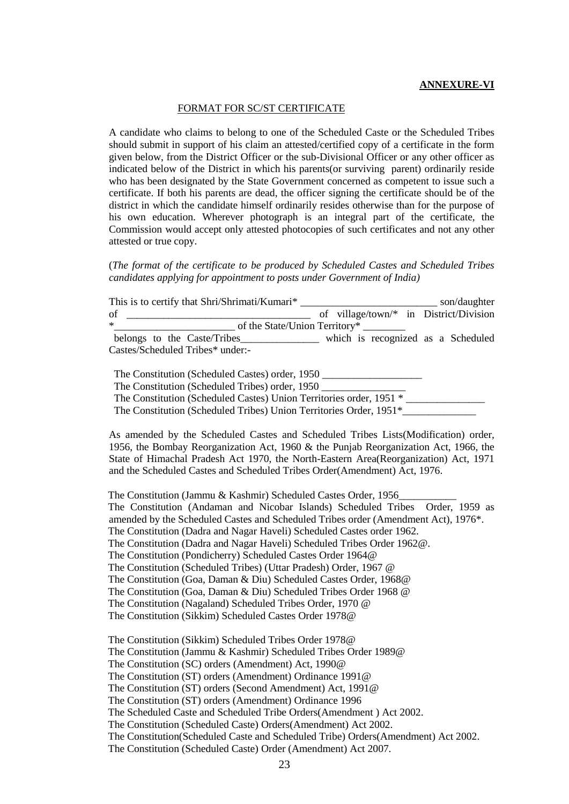#### **ANNEXURE-VI**

#### FORMAT FOR SC/ST CERTIFICATE

A candidate who claims to belong to one of the Scheduled Caste or the Scheduled Tribes should submit in support of his claim an attested/certified copy of a certificate in the form given below, from the District Officer or the sub-Divisional Officer or any other officer as indicated below of the District in which his parents(or surviving parent) ordinarily reside who has been designated by the State Government concerned as competent to issue such a certificate. If both his parents are dead, the officer signing the certificate should be of the district in which the candidate himself ordinarily resides otherwise than for the purpose of his own education. Wherever photograph is an integral part of the certificate, the Commission would accept only attested photocopies of such certificates and not any other attested or true copy.

(*The format of the certificate to be produced by Scheduled Castes and Scheduled Tribes candidates applying for appointment to posts under Government of India)*

| This is to certify that Shri/Shrimati/Kumari* | son/daughter                           |
|-----------------------------------------------|----------------------------------------|
| of                                            | of village/town/* in District/Division |
| $\ast$                                        | of the State/Union Territory*          |
| belongs to the Caste/Tribes                   | which is recognized as a Scheduled     |
| Castes/Scheduled Tribes* under:-              |                                        |

| The Constitution (Scheduled Castes) order, 1950                     |  |
|---------------------------------------------------------------------|--|
| The Constitution (Scheduled Tribes) order, 1950                     |  |
| The Constitution (Scheduled Castes) Union Territories order, 1951 * |  |
| The Constitution (Scheduled Tribes) Union Territories Order, 1951*  |  |

As amended by the Scheduled Castes and Scheduled Tribes Lists(Modification) order, 1956, the Bombay Reorganization Act, 1960 & the Punjab Reorganization Act, 1966, the State of Himachal Pradesh Act 1970, the North-Eastern Area(Reorganization) Act, 1971 and the Scheduled Castes and Scheduled Tribes Order(Amendment) Act, 1976.

The Constitution (Jammu & Kashmir) Scheduled Castes Order, 1956\_\_\_\_\_\_\_\_\_\_\_ The Constitution (Andaman and Nicobar Islands) Scheduled Tribes Order, 1959 as amended by the Scheduled Castes and Scheduled Tribes order (Amendment Act), 1976\*. The Constitution (Dadra and Nagar Haveli) Scheduled Castes order 1962. The Constitution (Dadra and Nagar Haveli) Scheduled Tribes Order 1962@. The Constitution (Pondicherry) Scheduled Castes Order 1964@ The Constitution (Scheduled Tribes) (Uttar Pradesh) Order, 1967 @ The Constitution (Goa, Daman & Diu) Scheduled Castes Order, 1968@ The Constitution (Goa, Daman & Diu) Scheduled Tribes Order 1968 @ The Constitution (Nagaland) Scheduled Tribes Order, 1970 @ The Constitution (Sikkim) Scheduled Castes Order 1978@

The Constitution (Sikkim) Scheduled Tribes Order 1978@ The Constitution (Jammu & Kashmir) Scheduled Tribes Order 1989@ The Constitution (SC) orders (Amendment) Act, 1990@ The Constitution (ST) orders (Amendment) Ordinance 1991@ The Constitution (ST) orders (Second Amendment) Act, 1991@ The Constitution (ST) orders (Amendment) Ordinance 1996 The Scheduled Caste and Scheduled Tribe Orders(Amendment ) Act 2002. The Constitution (Scheduled Caste) Orders(Amendment) Act 2002. The Constitution(Scheduled Caste and Scheduled Tribe) Orders(Amendment) Act 2002. The Constitution (Scheduled Caste) Order (Amendment) Act 2007.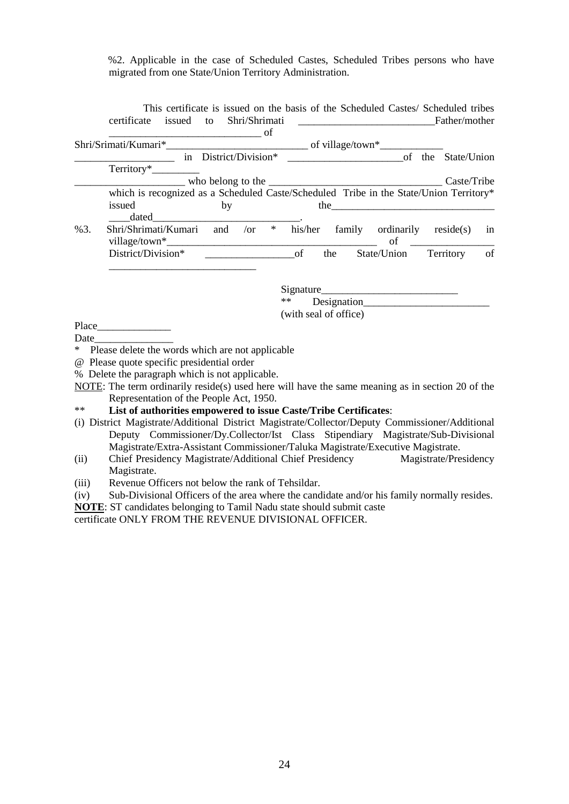%2. Applicable in the case of Scheduled Castes, Scheduled Tribes persons who have migrated from one State/Union Territory Administration.

|     | which is recognized as a Scheduled Caste/Scheduled Tribe in the State/Union Territory* |       |                       |           |    |
|-----|----------------------------------------------------------------------------------------|-------|-----------------------|-----------|----|
|     | issued<br>by                                                                           |       |                       |           |    |
|     |                                                                                        |       |                       |           |    |
| %3. | Shri/Shrimati/Kumari and /or * his/her family ordinarily reside(s)                     |       |                       |           | in |
|     |                                                                                        |       |                       |           | of |
|     |                                                                                        |       |                       |           |    |
|     |                                                                                        |       |                       |           |    |
|     |                                                                                        |       |                       | Signature |    |
|     |                                                                                        | $***$ |                       |           |    |
|     |                                                                                        |       | (with seal of office) |           |    |
|     |                                                                                        |       |                       |           |    |
|     |                                                                                        |       |                       |           |    |
|     | * Please delete the words which are not applicable                                     |       |                       |           |    |
|     |                                                                                        |       |                       |           |    |

NOTE: The term ordinarily reside(s) used here will have the same meaning as in section 20 of the Representation of the People Act, 1950.

#### \*\* **List of authorities empowered to issue Caste/Tribe Certificates**:

- (i) District Magistrate/Additional District Magistrate/Collector/Deputy Commissioner/Additional Deputy Commissioner/Dy.Collector/Ist Class Stipendiary Magistrate/Sub-Divisional Magistrate/Extra-Assistant Commissioner/Taluka Magistrate/Executive Magistrate.
- (ii) Chief Presidency Magistrate/Additional Chief Presidency Magistrate/Presidency Magistrate.
- (iii) Revenue Officers not below the rank of Tehsildar.
- (iv) Sub-Divisional Officers of the area where the candidate and/or his family normally resides.
- **NOTE**: ST candidates belonging to Tamil Nadu state should submit caste

certificate ONLY FROM THE REVENUE DIVISIONAL OFFICER.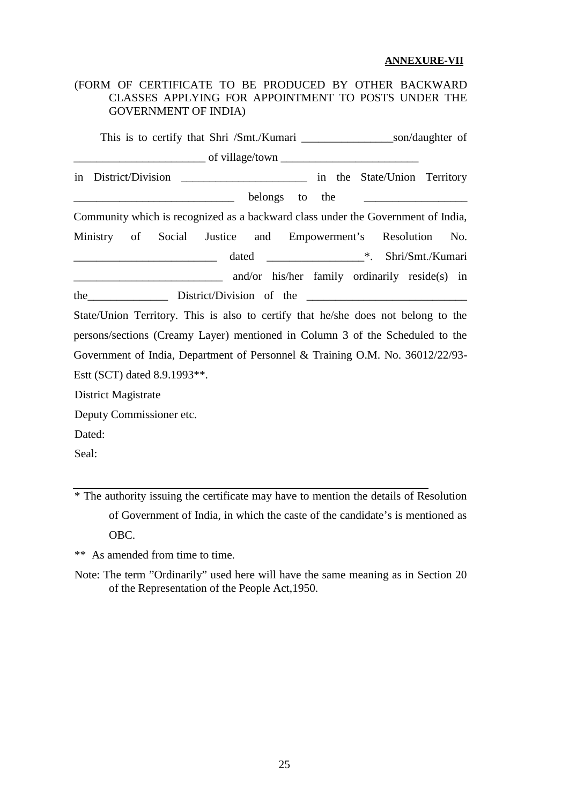#### **ANNEXURE-VII**

## (FORM OF CERTIFICATE TO BE PRODUCED BY OTHER BACKWARD CLASSES APPLYING FOR APPOINTMENT TO POSTS UNDER THE GOVERNMENT OF INDIA)

This is to certify that Shri /Smt./Kumari \_\_\_\_\_\_\_\_\_\_\_\_\_\_\_\_\_\_\_\_\_\_\_son/daughter of  $\frac{1}{\sqrt{1-\frac{1}{2}}\int_0^t \frac{1}{2} \int_0^t \frac{1}{2} \int_0^t \frac{1}{2} \int_0^t \frac{1}{2} \int_0^t \frac{1}{2} \int_0^t \frac{1}{2} \int_0^t \frac{1}{2} \int_0^t \frac{1}{2} \int_0^t \frac{1}{2} \int_0^t \frac{1}{2} \int_0^t \frac{1}{2} \int_0^t \frac{1}{2} \int_0^t \frac{1}{2} \int_0^t \frac{1}{2} \int_0^t \frac{1}{2} \int_0^t \frac{$ in District/Division \_\_\_\_\_\_\_\_\_\_\_\_\_\_\_\_\_\_\_\_\_\_ in the State/Union Territory belongs to the Community which is recognized as a backward class under the Government of India, Ministry of Social Justice and Empowerment's Resolution No. \_\_\_\_\_\_\_\_\_\_\_\_\_\_\_\_\_\_\_\_\_\_\_\_\_ dated \_\_\_\_\_\_\_\_\_\_\_\_\_\_\_\_\_\*. Shri/Smt./Kumari and/or his/her family ordinarily reside(s) in the District/Division of the State/Union Territory. This is also to certify that he/she does not belong to the persons/sections (Creamy Layer) mentioned in Column 3 of the Scheduled to the Government of India, Department of Personnel & Training O.M. No. 36012/22/93- Estt (SCT) dated 8.9.1993\*\*. District Magistrate Deputy Commissioner etc. Dated: Seal:

\* The authority issuing the certificate may have to mention the details of Resolution of Government of India, in which the caste of the candidate's is mentioned as OBC.

\*\* As amended from time to time.

Note: The term "Ordinarily" used here will have the same meaning as in Section 20 of the Representation of the People Act,1950.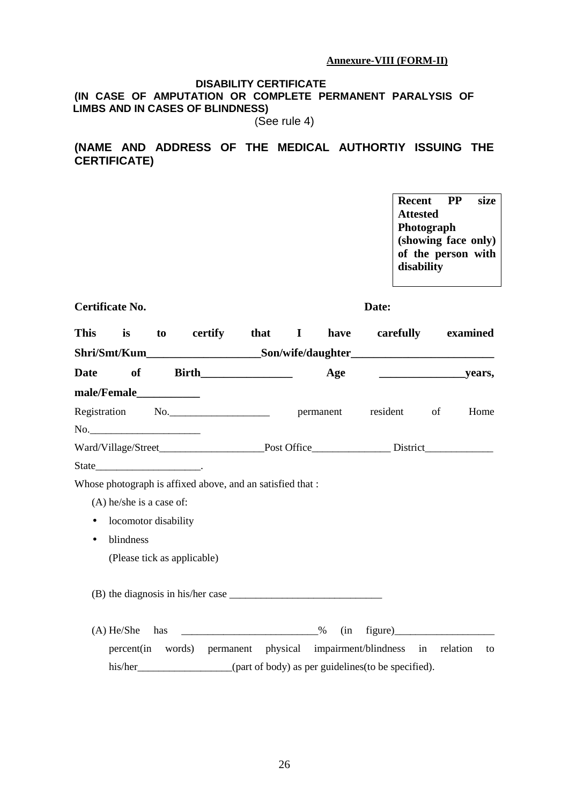#### **Annexure-VIII (FORM-II)**

#### **DISABILITY CERTIFICATE (IN CASE OF AMPUTATION OR COMPLETE PERMANENT PARALYSIS OF LIMBS AND IN CASES OF BLINDNESS)**

(See rule 4)

## **(NAME AND ADDRESS OF THE MEDICAL AUTHORTIY ISSUING THE CERTIFICATE)**

**Recent PP size Attested Photograph (showing face only) of the person with disability**

| Certificate No. | <b>Date:</b> |
|-----------------|--------------|
|-----------------|--------------|

| This        | is                                               | to  | certify that I                                             |  | have | carefully examined                                                               |    |      |
|-------------|--------------------------------------------------|-----|------------------------------------------------------------|--|------|----------------------------------------------------------------------------------|----|------|
|             |                                                  |     |                                                            |  |      | Shri/Smt/Kum_________________________Son/wife/daughter__________________________ |    |      |
| <b>Date</b> | of                                               |     | <b>Birth___________________</b>                            |  |      |                                                                                  |    |      |
|             | male/Female____________                          |     |                                                            |  |      |                                                                                  |    |      |
|             |                                                  |     | Registration No.                                           |  |      | resident                                                                         | of | Home |
|             |                                                  |     |                                                            |  |      |                                                                                  |    |      |
|             |                                                  |     |                                                            |  |      |                                                                                  |    |      |
|             | $State$ <sub>___________________________</sub> . |     |                                                            |  |      |                                                                                  |    |      |
|             |                                                  |     | Whose photograph is affixed above, and an satisfied that : |  |      |                                                                                  |    |      |
|             | $(A)$ he/she is a case of:                       |     |                                                            |  |      |                                                                                  |    |      |
| $\bullet$   | locomotor disability                             |     |                                                            |  |      |                                                                                  |    |      |
| $\bullet$   | blindness                                        |     |                                                            |  |      |                                                                                  |    |      |
|             |                                                  |     | (Please tick as applicable)                                |  |      |                                                                                  |    |      |
|             |                                                  |     |                                                            |  |      |                                                                                  |    |      |
|             |                                                  |     |                                                            |  |      |                                                                                  |    |      |
|             |                                                  |     |                                                            |  |      |                                                                                  |    |      |
|             | $(A)$ He/She                                     | has |                                                            |  | (in  |                                                                                  |    |      |
|             |                                                  |     |                                                            |  |      | percent(in words) permanent physical impairment/blindness in relation            |    | to   |
|             |                                                  |     |                                                            |  |      | his/her__________________(part of body) as per guidelines(to be specified).      |    |      |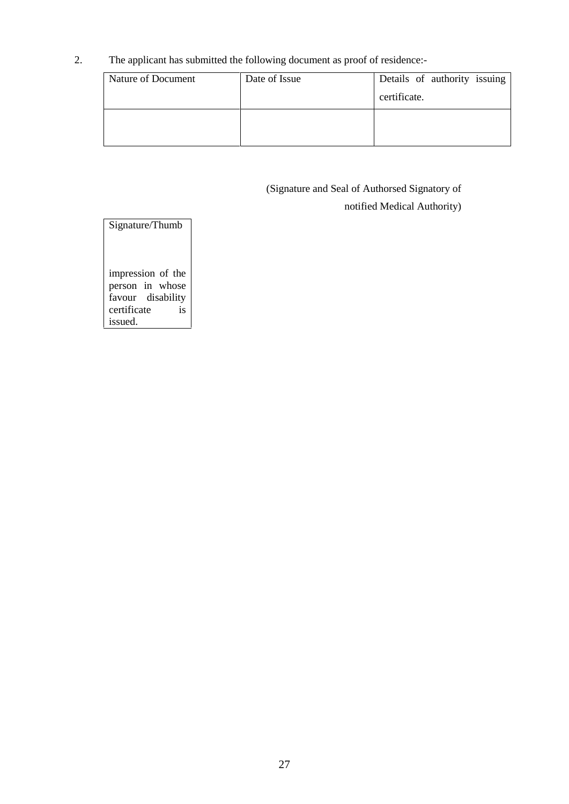2. The applicant has submitted the following document as proof of residence:-

| Date of Issue | Details of authority issuing |
|---------------|------------------------------|
|               | certificate.                 |
|               |                              |
|               |                              |
|               |                              |

# (Signature and Seal of Authorsed Signatory of

notified Medical Authority)

Signature/Thumb impression of the person in whose favour disability certificate is issued.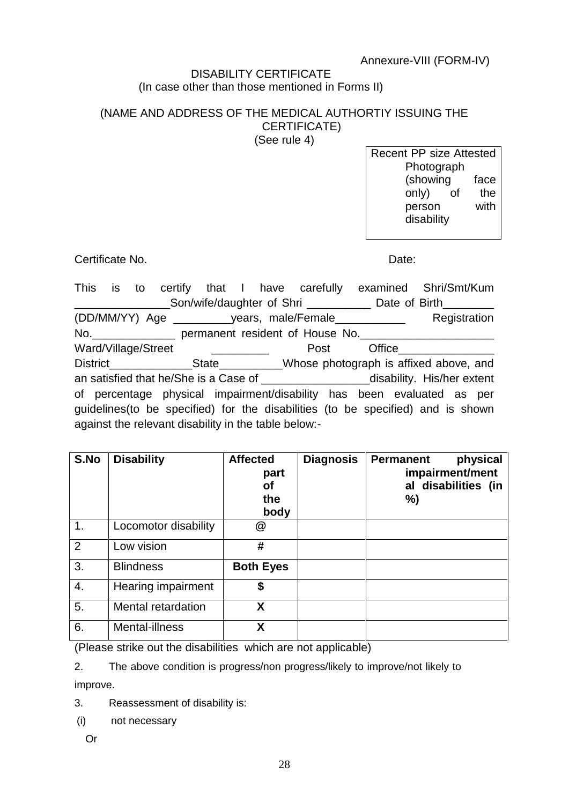# Annexure-VIII (FORM-IV)

## DISABILITY CERTIFICATE (In case other than those mentioned in Forms II)

# (NAME AND ADDRESS OF THE MEDICAL AUTHORTIY ISSUING THE CERTIFICATE)

(See rule 4)

Recent PP size Attested **Photograph** (showing face only) of the person with disability

Certificate No. 2008 - 2008 - 2009 - 2010 - 2010 - 2010 - 2010 - 2010 - 2010 - 2010 - 2010 - 2010 - 2010 - 201

This is to certify that I have carefully examined Shri/Smt/Kum \_Son/wife/daughter of Shri \_\_\_\_\_\_\_\_\_\_\_\_ Date of Birth\_\_\_\_\_\_\_\_\_ (DD/MM/YY) Age \_\_\_\_\_\_\_\_\_years, male/Female\_\_\_\_\_\_\_\_\_\_\_ Registration No.\_\_\_\_\_\_\_\_\_\_\_\_\_ permanent resident of House No.\_\_\_\_\_\_\_\_\_\_\_\_\_\_\_\_\_\_\_\_\_ Ward/Village/Street \_\_\_\_\_\_\_\_\_\_\_\_\_\_\_ Post Office District State State Whose photograph is affixed above, and an satisfied that he/She is a Case of The Music extent disability. His/her extent of percentage physical impairment/disability has been evaluated as per guidelines(to be specified) for the disabilities (to be specified) and is shown against the relevant disability in the table below:-

| S.No | <b>Disability</b>    | <b>Affected</b><br>part<br><b>of</b><br>the<br>body | <b>Diagnosis</b> | physical<br><b>Permanent</b><br>impairment/ment<br>al disabilities (in<br>%) |  |
|------|----------------------|-----------------------------------------------------|------------------|------------------------------------------------------------------------------|--|
| 1.   | Locomotor disability | @                                                   |                  |                                                                              |  |
| 2    | Low vision           | #                                                   |                  |                                                                              |  |
| 3.   | <b>Blindness</b>     | <b>Both Eyes</b>                                    |                  |                                                                              |  |
| 4.   | Hearing impairment   | \$                                                  |                  |                                                                              |  |
| 5.   | Mental retardation   | X                                                   |                  |                                                                              |  |
| 6.   | Mental-illness       | X                                                   |                  |                                                                              |  |

(Please strike out the disabilities which are not applicable)

2. The above condition is progress/non progress/likely to improve/not likely to

improve.

3. Reassessment of disability is:

(i) not necessary

Or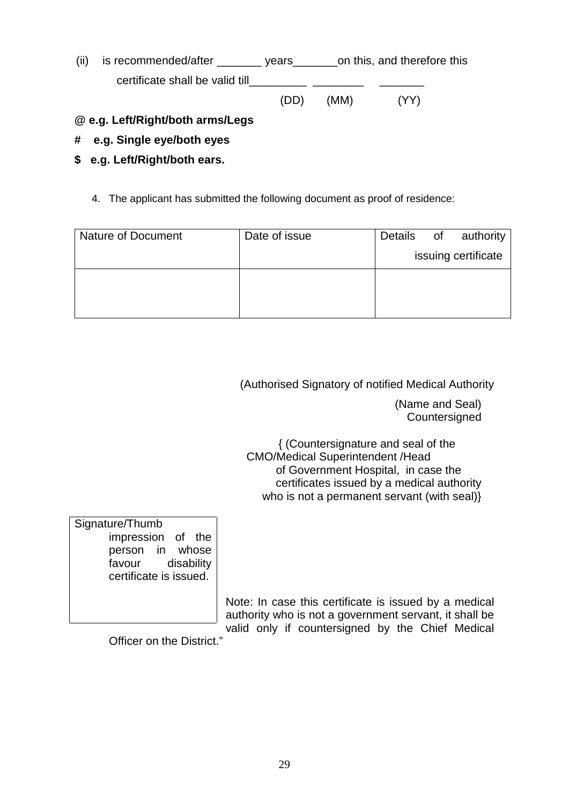(ii) is recommended/after \_\_\_\_\_\_\_\_ years\_\_\_\_\_\_\_on this, and therefore this certificate shall be valid till (DD) (MM) (YY)

# **@ e.g. Left/Right/both arms/Legs**

- **# e.g. Single eye/both eyes**
- **\$ e.g. Left/Right/both ears.**
	- 4. The applicant has submitted the following document as proof of residence:

| <b>Nature of Document</b> | Date of issue | of<br>Details<br>authority |
|---------------------------|---------------|----------------------------|
|                           |               | issuing certificate        |
|                           |               |                            |
|                           |               |                            |
|                           |               |                            |

(Authorised Signatory of notified Medical Authority

(Name and Seal) **Countersigned** 

{ (Countersignature and seal of the CMO/Medical Superintendent /Head of Government Hospital, in case the certificates issued by a medical authority who is not a permanent servant (with seal)}

| Signature/Thumb        |       |
|------------------------|-------|
| impression of the      |       |
| person in whose        |       |
| favour<br>disability   |       |
| certificate is issued. |       |
|                        |       |
|                        | Note: |

Note: In case this certificate is issued by a medical authority who is not a government servant, it shall be valid only if countersigned by the Chief Medical

Officer on the District."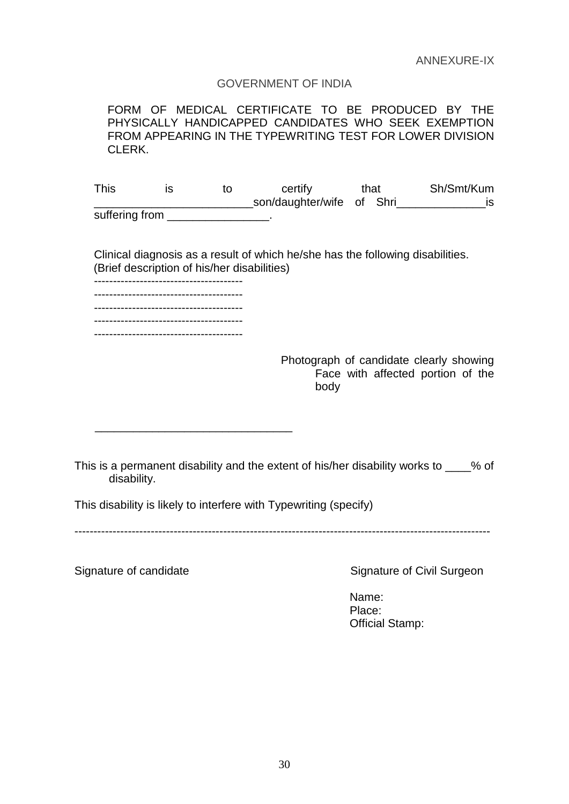## GOVERNMENT OF INDIA

FORM OF MEDICAL CERTIFICATE TO BE PRODUCED BY THE PHYSICALLY HANDICAPPED CANDIDATES WHO SEEK EXEMPTION FROM APPEARING IN THE TYPEWRITING TEST FOR LOWER DIVISION CLERK.

This is to certify that Sh/Smt/Kum \_\_\_\_\_\_\_\_\_\_\_\_\_\_\_\_\_\_\_\_\_\_\_\_\_son/daughter/wife of Shri\_\_\_\_\_\_\_\_\_\_\_\_\_\_is suffering from **EXECUTE:** 

Clinical diagnosis as a result of which he/she has the following disabilities. (Brief description of his/her disabilities)

--------------------------------------- --------------------------------------- --------------------------------------- ---------------------------------------

> Photograph of candidate clearly showing Face with affected portion of the body

This is a permanent disability and the extent of his/her disability works to  $\frac{1}{2}$  % of disability.

This disability is likely to interfere with Typewriting (specify)

\_\_\_\_\_\_\_\_\_\_\_\_\_\_\_\_\_\_\_\_\_\_\_\_\_\_\_\_\_\_\_

-------------------------------------------------------------------------------------------------------------

Signature of candidate Signature of Civil Surgeon

Name: Place: Official Stamp: